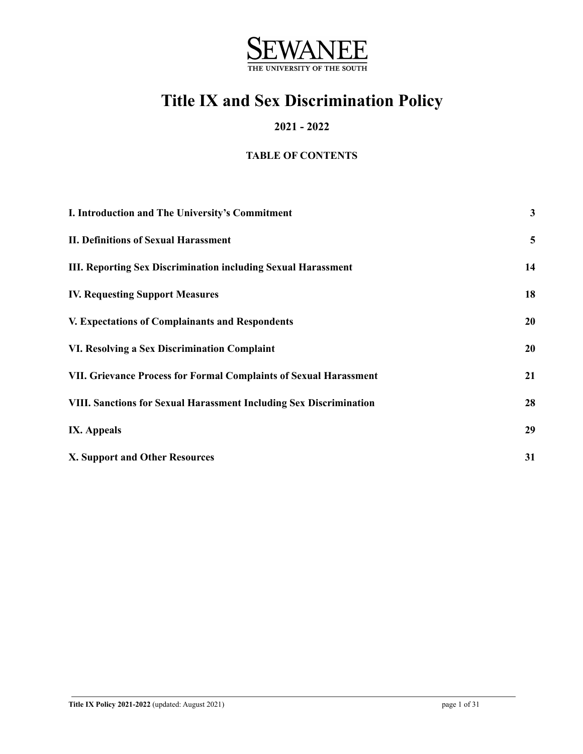

# **Title IX and Sex Discrimination Policy**

### **2021 - 2022**

### **TABLE OF CONTENTS**

| I. Introduction and The University's Commitment                           | $\mathbf{3}$ |
|---------------------------------------------------------------------------|--------------|
| <b>II. Definitions of Sexual Harassment</b>                               | 5            |
| <b>III. Reporting Sex Discrimination including Sexual Harassment</b>      | 14           |
| <b>IV. Requesting Support Measures</b>                                    | 18           |
| <b>V. Expectations of Complainants and Respondents</b>                    | 20           |
| VI. Resolving a Sex Discrimination Complaint                              | 20           |
| VII. Grievance Process for Formal Complaints of Sexual Harassment         | 21           |
| <b>VIII. Sanctions for Sexual Harassment Including Sex Discrimination</b> | 28           |
| <b>IX.</b> Appeals                                                        | 29           |
| <b>X. Support and Other Resources</b>                                     | 31           |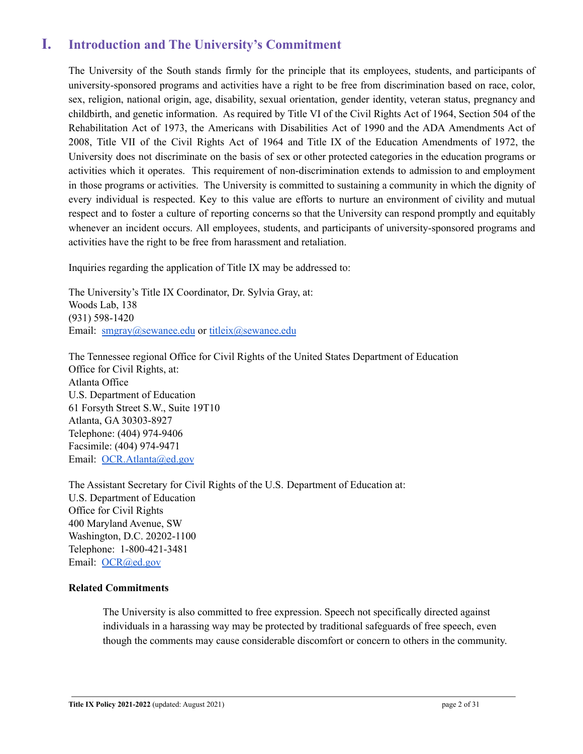# <span id="page-1-0"></span>**I. Introduction and The University's Commitment**

The University of the South stands firmly for the principle that its employees, students, and participants of university-sponsored programs and activities have a right to be free from discrimination based on race, color, sex, religion, national origin, age, disability, sexual orientation, gender identity, veteran status, pregnancy and childbirth, and genetic information. As required by Title VI of the Civil Rights Act of 1964, Section 504 of the Rehabilitation Act of 1973, the Americans with Disabilities Act of 1990 and the ADA Amendments Act of 2008, Title VII of the Civil Rights Act of 1964 and Title IX of the Education Amendments of 1972, the University does not discriminate on the basis of sex or other protected categories in the education programs or activities which it operates. This requirement of non-discrimination extends to admission to and employment in those programs or activities. The University is committed to sustaining a community in which the dignity of every individual is respected. Key to this value are efforts to nurture an environment of civility and mutual respect and to foster a culture of reporting concerns so that the University can respond promptly and equitably whenever an incident occurs. All employees, students, and participants of university-sponsored programs and activities have the right to be free from harassment and retaliation.

Inquiries regarding the application of Title IX may be addressed to:

The University's Title IX Coordinator, Dr. Sylvia Gray, at: Woods Lab, 138 (931) 598-1420 Email: [smgray@sewanee.edu](mailto:smgray@sewanee.edu) or [titleix@sewanee.edu](mailto:titleix@sewanee.edu)

The Tennessee regional Office for Civil Rights of the United States Department of Education Office for Civil Rights, at: Atlanta Office U.S. Department of Education 61 Forsyth Street S.W., Suite 19T10 Atlanta, GA 30303-8927 Telephone: (404) 974-9406 Facsimile: (404) 974-9471 Email: [OCR.Atlanta@ed.gov](mailto:OCR.Atlanta@ed.gov)

The Assistant Secretary for Civil Rights of the U.S. Department of Education at: U.S. Department of Education Office for Civil Rights 400 Maryland Avenue, SW Washington, D.C. 20202-1100 Telephone: 1-800-421-3481 Email: [OCR@ed.gov](mailto:OCR@ed.gov)

#### **Related Commitments**

The University is also committed to free expression. Speech not specifically directed against individuals in a harassing way may be protected by traditional safeguards of free speech, even though the comments may cause considerable discomfort or concern to others in the community.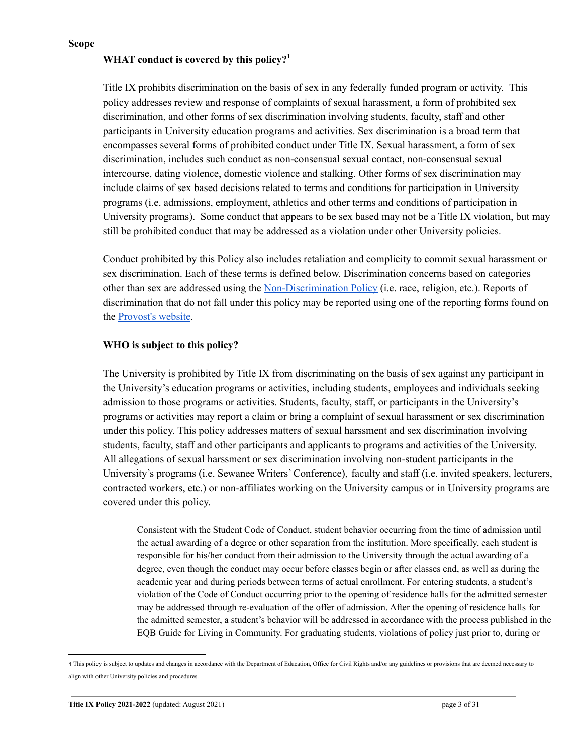**Scope**

### **WHAT conduct is covered by this policy? 1**

Title IX prohibits discrimination on the basis of sex in any federally funded program or activity. This policy addresses review and response of complaints of sexual harassment, a form of prohibited sex discrimination, and other forms of sex discrimination involving students, faculty, staff and other participants in University education programs and activities. Sex discrimination is a broad term that encompasses several forms of prohibited conduct under Title IX. Sexual harassment, a form of sex discrimination, includes such conduct as non-consensual sexual contact, non-consensual sexual intercourse, dating violence, domestic violence and stalking. Other forms of sex discrimination may include claims of sex based decisions related to terms and conditions for participation in University programs (i.e. admissions, employment, athletics and other terms and conditions of participation in University programs). Some conduct that appears to be sex based may not be a Title IX violation, but may still be prohibited conduct that may be addressed as a violation under other University policies.

Conduct prohibited by this Policy also includes retaliation and complicity to commit sexual harassment or sex discrimination. Each of these terms is defined below. Discrimination concerns based on categories other than sex are addressed using the [Non-Discrimination](https://new.sewanee.edu/files/resources/non-discrimination-policy.pdf) Policy (i.e. race, religion, etc.). Reports of discrimination that do not fall under this policy may be reported using one of the reporting forms found on the [Provost's](http://provost.sewanee.edu/report-a-concern-or-complaint/) website.

### **WHO is subject to this policy?**

The University is prohibited by Title IX from discriminating on the basis of sex against any participant in the University's education programs or activities, including students, employees and individuals seeking admission to those programs or activities. Students, faculty, staff, or participants in the University's programs or activities may report a claim or bring a complaint of sexual harassment or sex discrimination under this policy. This policy addresses matters of sexual harssment and sex discrimination involving students, faculty, staff and other participants and applicants to programs and activities of the University. All allegations of sexual harssment or sex discrimination involving non-student participants in the University's programs (i.e. Sewanee Writers' Conference), faculty and staff (i.e. invited speakers, lecturers, contracted workers, etc.) or non-affiliates working on the University campus or in University programs are covered under this policy.

Consistent with the Student Code of Conduct, student behavior occurring from the time of admission until the actual awarding of a degree or other separation from the institution. More specifically, each student is responsible for his/her conduct from their admission to the University through the actual awarding of a degree, even though the conduct may occur before classes begin or after classes end, as well as during the academic year and during periods between terms of actual enrollment. For entering students, a student's violation of the Code of Conduct occurring prior to the opening of residence halls for the admitted semester may be addressed through re-evaluation of the offer of admission. After the opening of residence halls for the admitted semester, a student's behavior will be addressed in accordance with the process published in the EQB Guide for Living in Community. For graduating students, violations of policy just prior to, during or

**<sup>1</sup>** This policy is subject to updates and changes in accordance with the Department of Education, Office for Civil Rights and/or any guidelines or provisions that are deemed necessary to align with other University policies and procedures.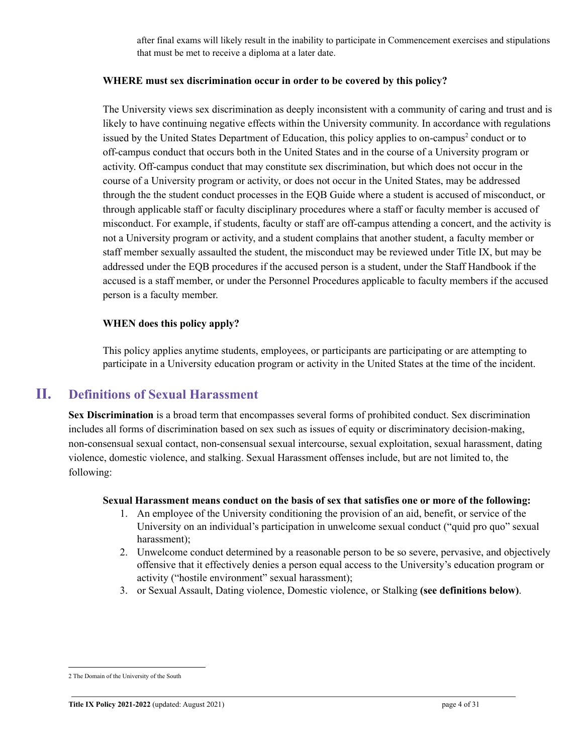after final exams will likely result in the inability to participate in Commencement exercises and stipulations that must be met to receive a diploma at a later date.

### **WHERE must sex discrimination occur in order to be covered by this policy?**

The University views sex discrimination as deeply inconsistent with a community of caring and trust and is likely to have continuing negative effects within the University community. In accordance with regulations issued by the United States Department of Education, this policy applies to on-campus<sup>2</sup> conduct or to off-campus conduct that occurs both in the United States and in the course of a University program or activity. Off-campus conduct that may constitute sex discrimination, but which does not occur in the course of a University program or activity, or does not occur in the United States, may be addressed through the the student conduct processes in the EQB Guide where a student is accused of misconduct, or through applicable staff or faculty disciplinary procedures where a staff or faculty member is accused of misconduct. For example, if students, faculty or staff are off-campus attending a concert, and the activity is not a University program or activity, and a student complains that another student, a faculty member or staff member sexually assaulted the student, the misconduct may be reviewed under Title IX, but may be addressed under the EQB procedures if the accused person is a student, under the Staff Handbook if the accused is a staff member, or under the Personnel Procedures applicable to faculty members if the accused person is a faculty member.

### **WHEN does this policy apply?**

This policy applies anytime students, employees, or participants are participating or are attempting to participate in a University education program or activity in the United States at the time of the incident.

### **II. Definitions of Sexual Harassment**

<span id="page-3-0"></span>**Sex Discrimination** is a broad term that encompasses several forms of prohibited conduct. Sex discrimination includes all forms of discrimination based on sex such as issues of equity or discriminatory decision-making, non-consensual sexual contact, non-consensual sexual intercourse, sexual exploitation, sexual harassment, dating violence, domestic violence, and stalking. Sexual Harassment offenses include, but are not limited to, the following:

#### **Sexual Harassment means conduct on the basis of sex that satisfies one or more of the following:**

- 1. An employee of the University conditioning the provision of an aid, benefit, or service of the University on an individual's participation in unwelcome sexual conduct ("quid pro quo" sexual harassment);
- 2. Unwelcome conduct determined by a reasonable person to be so severe, pervasive, and objectively offensive that it effectively denies a person equal access to the University's education program or activity ("hostile environment" sexual harassment);
- 3. or Sexual Assault, Dating violence, Domestic violence, or Stalking **(see definitions below)**.

<sup>2</sup> The Domain of the University of the South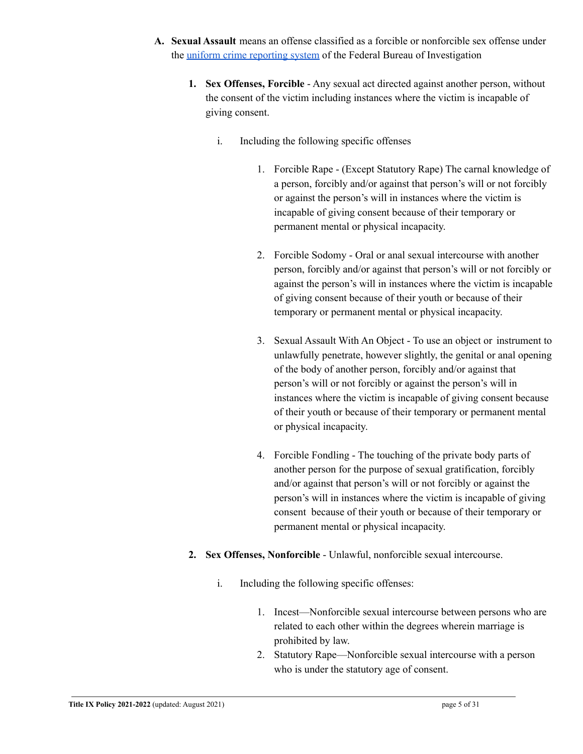- **A. Sexual Assault** means an offense classified as a forcible or nonforcible sex offense under the uniform crime [reporting](https://ucr.fbi.gov/nibrs/2012/resources/nibrs-offense-definitions) system of the Federal Bureau of Investigation
	- **1. Sex Offenses, Forcible** Any sexual act directed against another person, without the consent of the victim including instances where the victim is incapable of giving consent.
		- i. Including the following specific offenses
			- 1. Forcible Rape (Except Statutory Rape) The carnal knowledge of a person, forcibly and/or against that person's will or not forcibly or against the person's will in instances where the victim is incapable of giving consent because of their temporary or permanent mental or physical incapacity.
			- 2. Forcible Sodomy Oral or anal sexual intercourse with another person, forcibly and/or against that person's will or not forcibly or against the person's will in instances where the victim is incapable of giving consent because of their youth or because of their temporary or permanent mental or physical incapacity.
			- 3. Sexual Assault With An Object To use an object or instrument to unlawfully penetrate, however slightly, the genital or anal opening of the body of another person, forcibly and/or against that person's will or not forcibly or against the person's will in instances where the victim is incapable of giving consent because of their youth or because of their temporary or permanent mental or physical incapacity.
			- 4. Forcible Fondling The touching of the private body parts of another person for the purpose of sexual gratification, forcibly and/or against that person's will or not forcibly or against the person's will in instances where the victim is incapable of giving consent because of their youth or because of their temporary or permanent mental or physical incapacity.
	- **2. Sex Offenses, Nonforcible** Unlawful, nonforcible sexual intercourse.
		- i. Including the following specific offenses:
			- 1. Incest—Nonforcible sexual intercourse between persons who are related to each other within the degrees wherein marriage is prohibited by law.
			- 2. Statutory Rape—Nonforcible sexual intercourse with a person who is under the statutory age of consent.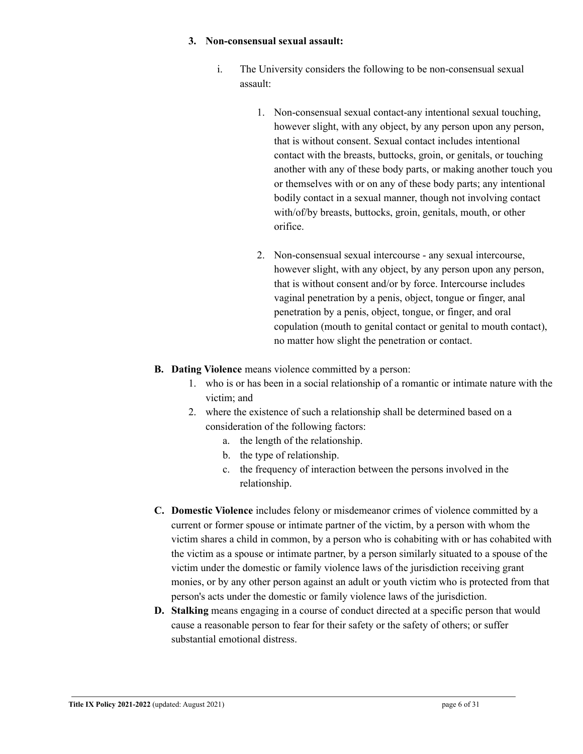#### **3. Non-consensual sexual assault:**

- i. The University considers the following to be non-consensual sexual assault:
	- 1. Non-consensual sexual contact-any intentional sexual touching, however slight, with any object, by any person upon any person, that is without consent. Sexual contact includes intentional contact with the breasts, buttocks, groin, or genitals, or touching another with any of these body parts, or making another touch you or themselves with or on any of these body parts; any intentional bodily contact in a sexual manner, though not involving contact with/of/by breasts, buttocks, groin, genitals, mouth, or other orifice.
	- 2. Non-consensual sexual intercourse any sexual intercourse, however slight, with any object, by any person upon any person, that is without consent and/or by force. Intercourse includes vaginal penetration by a penis, object, tongue or finger, anal penetration by a penis, object, tongue, or finger, and oral copulation (mouth to genital contact or genital to mouth contact), no matter how slight the penetration or contact.
- **B. Dating Violence** means violence committed by a person:
	- 1. who is or has been in a social relationship of a romantic or intimate nature with the victim; and
	- 2. where the existence of such a relationship shall be determined based on a consideration of the following factors:
		- a. the length of the relationship.
		- b. the type of relationship.
		- c. the frequency of interaction between the persons involved in the relationship.
- **C. Domestic Violence** includes felony or misdemeanor crimes of violence committed by a current or former spouse or intimate partner of the victim, by a person with whom the victim shares a child in common, by a person who is cohabiting with or has cohabited with the victim as a spouse or intimate partner, by a person similarly situated to a spouse of the victim under the domestic or family violence laws of the jurisdiction receiving grant monies, or by any other person against an adult or youth victim who is protected from that person's acts under the domestic or family violence laws of the jurisdiction.
- **D. Stalking** means engaging in a course of conduct directed at a specific person that would cause a reasonable person to fear for their safety or the safety of others; or suffer substantial emotional distress.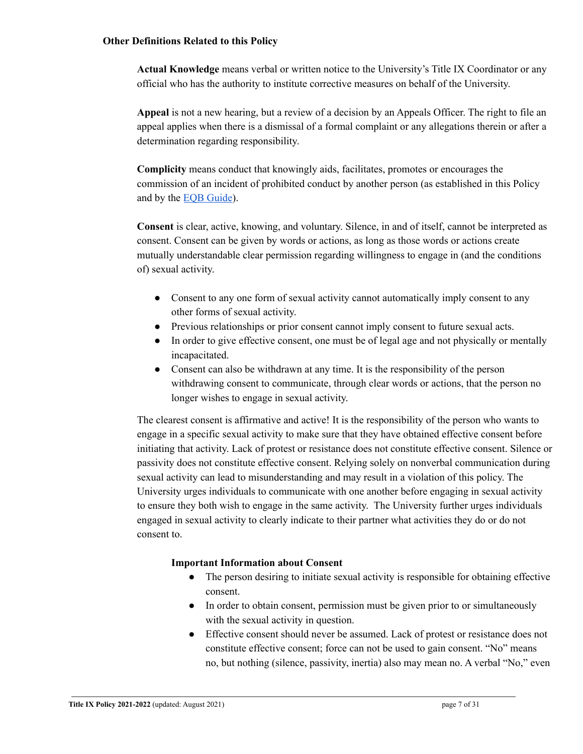#### **Other Definitions Related to this Policy**

**Actual Knowledge** means verbal or written notice to the University's Title IX Coordinator or any official who has the authority to institute corrective measures on behalf of the University.

**Appeal** is not a new hearing, but a review of a decision by an Appeals Officer. The right to file an appeal applies when there is a dismissal of a formal complaint or any allegations therein or after a determination regarding responsibility.

**Complicity** means conduct that knowingly aids, facilitates, promotes or encourages the commission of an incident of prohibited conduct by another person (as established in this Policy and by the EQB [Guide](https://new.sewanee.edu/files/resources/eqb-guide-for-living-in-community-2.pdf)).

**Consent** is clear, active, knowing, and voluntary. Silence, in and of itself, cannot be interpreted as consent. Consent can be given by words or actions, as long as those words or actions create mutually understandable clear permission regarding willingness to engage in (and the conditions of) sexual activity.

- Consent to any one form of sexual activity cannot automatically imply consent to any other forms of sexual activity.
- Previous relationships or prior consent cannot imply consent to future sexual acts.
- In order to give effective consent, one must be of legal age and not physically or mentally incapacitated.
- Consent can also be withdrawn at any time. It is the responsibility of the person withdrawing consent to communicate, through clear words or actions, that the person no longer wishes to engage in sexual activity.

The clearest consent is affirmative and active! It is the responsibility of the person who wants to engage in a specific sexual activity to make sure that they have obtained effective consent before initiating that activity. Lack of protest or resistance does not constitute effective consent. Silence or passivity does not constitute effective consent. Relying solely on nonverbal communication during sexual activity can lead to misunderstanding and may result in a violation of this policy. The University urges individuals to communicate with one another before engaging in sexual activity to ensure they both wish to engage in the same activity. The University further urges individuals engaged in sexual activity to clearly indicate to their partner what activities they do or do not consent to.

### **Important Information about Consent**

- The person desiring to initiate sexual activity is responsible for obtaining effective consent.
- In order to obtain consent, permission must be given prior to or simultaneously with the sexual activity in question.
- Effective consent should never be assumed. Lack of protest or resistance does not constitute effective consent; force can not be used to gain consent. "No" means no, but nothing (silence, passivity, inertia) also may mean no. A verbal "No," even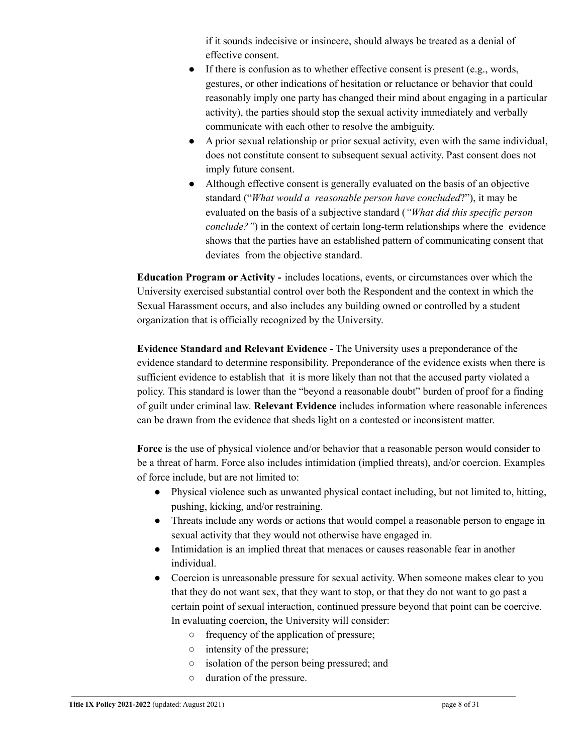if it sounds indecisive or insincere, should always be treated as a denial of effective consent.

- $\bullet$  If there is confusion as to whether effective consent is present (e.g., words, gestures, or other indications of hesitation or reluctance or behavior that could reasonably imply one party has changed their mind about engaging in a particular activity), the parties should stop the sexual activity immediately and verbally communicate with each other to resolve the ambiguity.
- A prior sexual relationship or prior sexual activity, even with the same individual, does not constitute consent to subsequent sexual activity. Past consent does not imply future consent.
- Although effective consent is generally evaluated on the basis of an objective standard ("*What would a reasonable person have concluded*?"), it may be evaluated on the basis of a subjective standard (*"What did this specific person conclude?"*) in the context of certain long-term relationships where the evidence shows that the parties have an established pattern of communicating consent that deviates from the objective standard.

**Education Program or Activity -** includes locations, events, or circumstances over which the University exercised substantial control over both the Respondent and the context in which the Sexual Harassment occurs, and also includes any building owned or controlled by a student organization that is officially recognized by the University.

**Evidence Standard and Relevant Evidence** - The University uses a preponderance of the evidence standard to determine responsibility. Preponderance of the evidence exists when there is sufficient evidence to establish that it is more likely than not that the accused party violated a policy. This standard is lower than the "beyond a reasonable doubt" burden of proof for a finding of guilt under criminal law. **Relevant Evidence** includes information where reasonable inferences can be drawn from the evidence that sheds light on a contested or inconsistent matter.

**Force** is the use of physical violence and/or behavior that a reasonable person would consider to be a threat of harm. Force also includes intimidation (implied threats), and/or coercion. Examples of force include, but are not limited to:

- Physical violence such as unwanted physical contact including, but not limited to, hitting, pushing, kicking, and/or restraining.
- Threats include any words or actions that would compel a reasonable person to engage in sexual activity that they would not otherwise have engaged in.
- Intimidation is an implied threat that menaces or causes reasonable fear in another individual.
- Coercion is unreasonable pressure for sexual activity. When someone makes clear to you that they do not want sex, that they want to stop, or that they do not want to go past a certain point of sexual interaction, continued pressure beyond that point can be coercive. In evaluating coercion, the University will consider:
	- frequency of the application of pressure;
	- intensity of the pressure;
	- isolation of the person being pressured; and
	- duration of the pressure.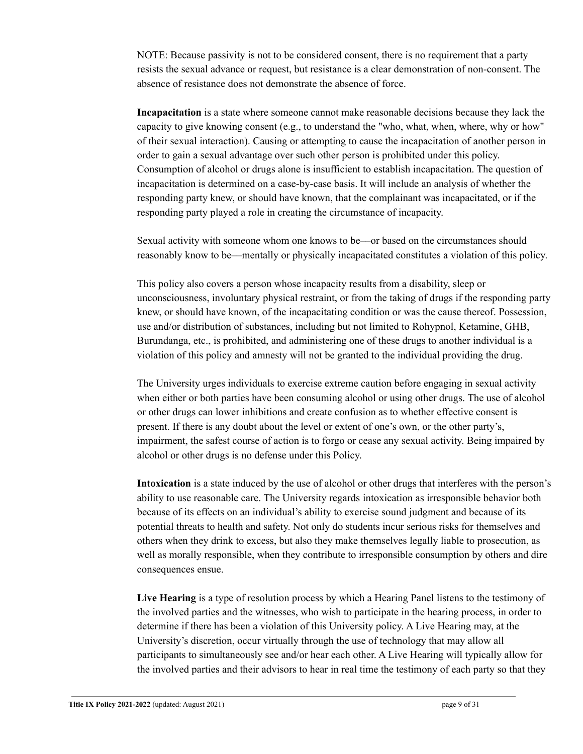NOTE: Because passivity is not to be considered consent, there is no requirement that a party resists the sexual advance or request, but resistance is a clear demonstration of non-consent. The absence of resistance does not demonstrate the absence of force.

**Incapacitation** is a state where someone cannot make reasonable decisions because they lack the capacity to give knowing consent (e.g., to understand the "who, what, when, where, why or how" of their sexual interaction). Causing or attempting to cause the incapacitation of another person in order to gain a sexual advantage over such other person is prohibited under this policy. Consumption of alcohol or drugs alone is insufficient to establish incapacitation. The question of incapacitation is determined on a case-by-case basis. It will include an analysis of whether the responding party knew, or should have known, that the complainant was incapacitated, or if the responding party played a role in creating the circumstance of incapacity.

Sexual activity with someone whom one knows to be––or based on the circumstances should reasonably know to be––mentally or physically incapacitated constitutes a violation of this policy.

This policy also covers a person whose incapacity results from a disability, sleep or unconsciousness, involuntary physical restraint, or from the taking of drugs if the responding party knew, or should have known, of the incapacitating condition or was the cause thereof. Possession, use and/or distribution of substances, including but not limited to Rohypnol, Ketamine, GHB, Burundanga, etc., is prohibited, and administering one of these drugs to another individual is a violation of this policy and amnesty will not be granted to the individual providing the drug.

The University urges individuals to exercise extreme caution before engaging in sexual activity when either or both parties have been consuming alcohol or using other drugs. The use of alcohol or other drugs can lower inhibitions and create confusion as to whether effective consent is present. If there is any doubt about the level or extent of one's own, or the other party's, impairment, the safest course of action is to forgo or cease any sexual activity. Being impaired by alcohol or other drugs is no defense under this Policy.

**Intoxication** is a state induced by the use of alcohol or other drugs that interferes with the person's ability to use reasonable care. The University regards intoxication as irresponsible behavior both because of its effects on an individual's ability to exercise sound judgment and because of its potential threats to health and safety. Not only do students incur serious risks for themselves and others when they drink to excess, but also they make themselves legally liable to prosecution, as well as morally responsible, when they contribute to irresponsible consumption by others and dire consequences ensue.

**Live Hearing** is a type of resolution process by which a Hearing Panel listens to the testimony of the involved parties and the witnesses, who wish to participate in the hearing process, in order to determine if there has been a violation of this University policy. A Live Hearing may, at the University's discretion, occur virtually through the use of technology that may allow all participants to simultaneously see and/or hear each other. A Live Hearing will typically allow for the involved parties and their advisors to hear in real time the testimony of each party so that they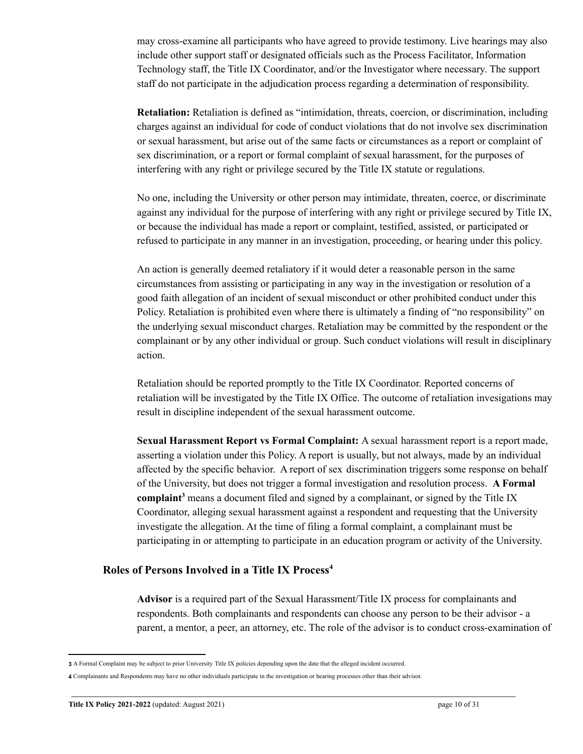may cross-examine all participants who have agreed to provide testimony. Live hearings may also include other support staff or designated officials such as the Process Facilitator, Information Technology staff, the Title IX Coordinator, and/or the Investigator where necessary. The support staff do not participate in the adjudication process regarding a determination of responsibility.

**Retaliation:** Retaliation is defined as "intimidation, threats, coercion, or discrimination, including charges against an individual for code of conduct violations that do not involve sex discrimination or sexual harassment, but arise out of the same facts or circumstances as a report or complaint of sex discrimination, or a report or formal complaint of sexual harassment, for the purposes of interfering with any right or privilege secured by the Title IX statute or regulations.

No one, including the University or other person may intimidate, threaten, coerce, or discriminate against any individual for the purpose of interfering with any right or privilege secured by Title IX, or because the individual has made a report or complaint, testified, assisted, or participated or refused to participate in any manner in an investigation, proceeding, or hearing under this policy.

An action is generally deemed retaliatory if it would deter a reasonable person in the same circumstances from assisting or participating in any way in the investigation or resolution of a good faith allegation of an incident of sexual misconduct or other prohibited conduct under this Policy. Retaliation is prohibited even where there is ultimately a finding of "no responsibility" on the underlying sexual misconduct charges. Retaliation may be committed by the respondent or the complainant or by any other individual or group. Such conduct violations will result in disciplinary action.

Retaliation should be reported promptly to the Title IX Coordinator. Reported concerns of retaliation will be investigated by the Title IX Office. The outcome of retaliation invesigations may result in discipline independent of the sexual harassment outcome.

**Sexual Harassment Report vs Formal Complaint:** A sexual harassment report is a report made, asserting a violation under this Policy. A report is usually, but not always, made by an individual affected by the specific behavior. A report of sex discrimination triggers some response on behalf of the University, but does not trigger a formal investigation and resolution process. **A Formal** complaint<sup>3</sup> means a document filed and signed by a complainant, or signed by the Title IX Coordinator, alleging sexual harassment against a respondent and requesting that the University investigate the allegation. At the time of filing a formal complaint, a complainant must be participating in or attempting to participate in an education program or activity of the University.

### **Roles of Persons Involved in a Title IX Process<sup>4</sup>**

**Advisor** is a required part of the Sexual Harassment/Title IX process for complainants and respondents. Both complainants and respondents can choose any person to be their advisor - a parent, a mentor, a peer, an attorney, etc. The role of the advisor is to conduct cross-examination of

**<sup>3</sup>** A Formal Complaint may be subject to prior University Title IX policies depending upon the date that the alleged incident occurred.

**<sup>4</sup>** Complainants and Respondents may have no other individuals participate in the investigation or hearing processes other than their advisor.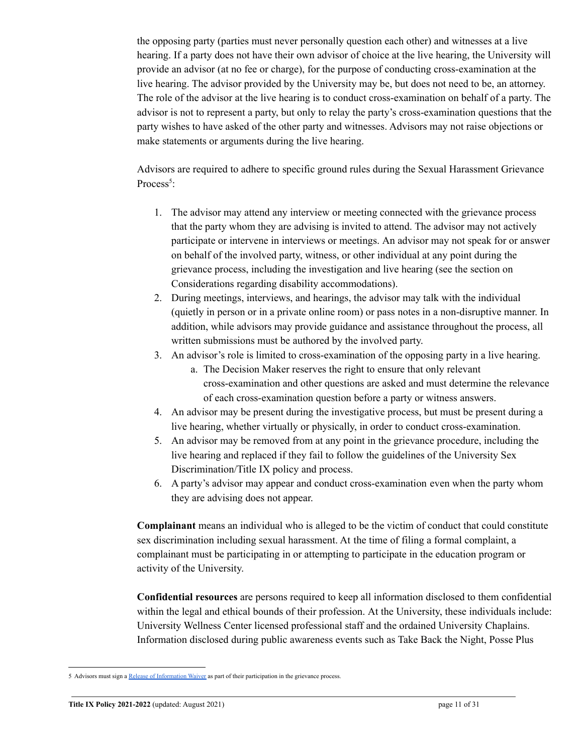the opposing party (parties must never personally question each other) and witnesses at a live hearing. If a party does not have their own advisor of choice at the live hearing, the University will provide an advisor (at no fee or charge), for the purpose of conducting cross-examination at the live hearing. The advisor provided by the University may be, but does not need to be, an attorney. The role of the advisor at the live hearing is to conduct cross-examination on behalf of a party. The advisor is not to represent a party, but only to relay the party's cross-examination questions that the party wishes to have asked of the other party and witnesses. Advisors may not raise objections or make statements or arguments during the live hearing.

Advisors are required to adhere to specific ground rules during the Sexual Harassment Grievance Process<sup>5</sup>:

- 1. The advisor may attend any interview or meeting connected with the grievance process that the party whom they are advising is invited to attend. The advisor may not actively participate or intervene in interviews or meetings. An advisor may not speak for or answer on behalf of the involved party, witness, or other individual at any point during the grievance process, including the investigation and live hearing (see the section on Considerations regarding disability accommodations).
- 2. During meetings, interviews, and hearings, the advisor may talk with the individual (quietly in person or in a private online room) or pass notes in a non-disruptive manner. In addition, while advisors may provide guidance and assistance throughout the process, all written submissions must be authored by the involved party.
- 3. An advisor's role is limited to cross-examination of the opposing party in a live hearing.
	- a. The Decision Maker reserves the right to ensure that only relevant cross-examination and other questions are asked and must determine the relevance of each cross-examination question before a party or witness answers.
- 4. An advisor may be present during the investigative process, but must be present during a live hearing, whether virtually or physically, in order to conduct cross-examination.
- 5. An advisor may be removed from at any point in the grievance procedure, including the live hearing and replaced if they fail to follow the guidelines of the University Sex Discrimination/Title IX policy and process.
- 6. A party's advisor may appear and conduct cross-examination even when the party whom they are advising does not appear.

**Complainant** means an individual who is alleged to be the victim of conduct that could constitute sex discrimination including sexual harassment. At the time of filing a formal complaint, a complainant must be participating in or attempting to participate in the education program or activity of the University.

**Confidential resources** are persons required to keep all information disclosed to them confidential within the legal and ethical bounds of their profession. At the University, these individuals include: University Wellness Center licensed professional staff and the ordained University Chaplains. Information disclosed during public awareness events such as Take Back the Night, Posse Plus

<sup>5</sup> Advisors must sign a Release of [Information](https://new.sewanee.edu/titleix/title-ix-policy-procedures/) Waiver as part of their participation in the grievance process.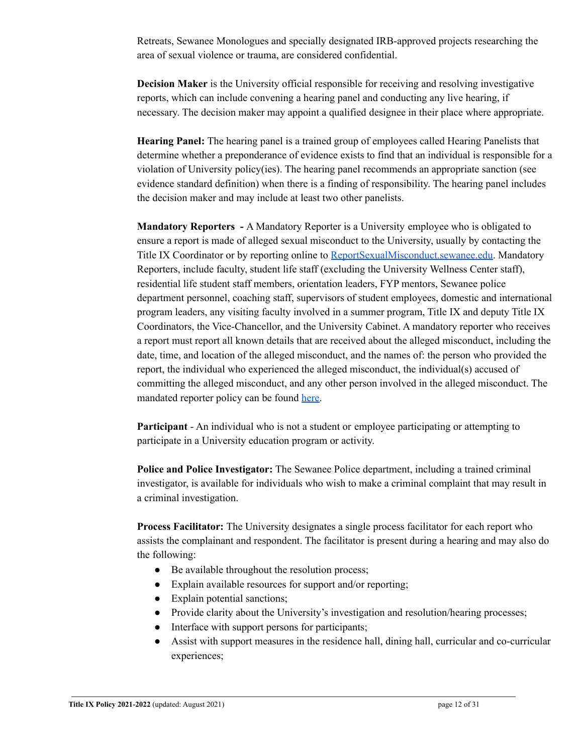Retreats, Sewanee Monologues and specially designated IRB-approved projects researching the area of sexual violence or trauma, are considered confidential.

**Decision Maker** is the University official responsible for receiving and resolving investigative reports, which can include convening a hearing panel and conducting any live hearing, if necessary. The decision maker may appoint a qualified designee in their place where appropriate.

**Hearing Panel:** The hearing panel is a trained group of employees called Hearing Panelists that determine whether a preponderance of evidence exists to find that an individual is responsible for a violation of University policy(ies). The hearing panel recommends an appropriate sanction (see evidence standard definition) when there is a finding of responsibility. The hearing panel includes the decision maker and may include at least two other panelists.

**Mandatory Reporters -** A Mandatory Reporter is a University employee who is obligated to ensure a report is made of alleged sexual misconduct to the University, usually by contacting the Title IX Coordinator or by reporting online to [ReportSexualMisconduct.sewanee.edu.](https://cm.maxient.com/reportingform.php?Sewanee&layout_id=3) Mandatory Reporters, include faculty, student life staff (excluding the University Wellness Center staff), residential life student staff members, orientation leaders, FYP mentors, Sewanee police department personnel, coaching staff, supervisors of student employees, domestic and international program leaders, any visiting faculty involved in a summer program, Title IX and deputy Title IX Coordinators, the Vice-Chancellor, and the University Cabinet. A mandatory reporter who receives a report must report all known details that are received about the alleged misconduct, including the date, time, and location of the alleged misconduct, and the names of: the person who provided the report, the individual who experienced the alleged misconduct, the individual(s) accused of committing the alleged misconduct, and any other person involved in the alleged misconduct. The mandated reporter policy can be found [here.](https://new.sewanee.edu/files/resources/mandatory-reporter-policy.pdf)

**Participant** - An individual who is not a student or employee participating or attempting to participate in a University education program or activity.

**Police and Police Investigator:** The Sewanee Police department, including a trained criminal investigator, is available for individuals who wish to make a criminal complaint that may result in a criminal investigation.

**Process Facilitator:** The University designates a single process facilitator for each report who assists the complainant and respondent. The facilitator is present during a hearing and may also do the following:

- Be available throughout the resolution process;
- Explain available resources for support and/or reporting;
- Explain potential sanctions;
- Provide clarity about the University's investigation and resolution/hearing processes;
- Interface with support persons for participants;
- Assist with support measures in the residence hall, dining hall, curricular and co-curricular experiences;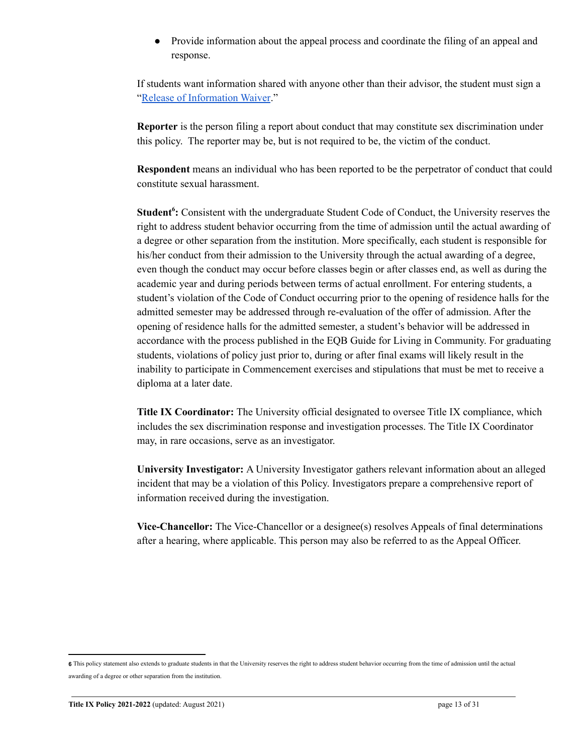Provide information about the appeal process and coordinate the filing of an appeal and response.

If students want information shared with anyone other than their advisor, the student must sign a "Release of [Information](https://new.sewanee.edu/titleix/title-ix-policy-procedures/) Waiver."

**Reporter** is the person filing a report about conduct that may constitute sex discrimination under this policy. The reporter may be, but is not required to be, the victim of the conduct.

**Respondent** means an individual who has been reported to be the perpetrator of conduct that could constitute sexual harassment.

**Student<sup>6</sup>:** Consistent with the undergraduate Student Code of Conduct, the University reserves the right to address student behavior occurring from the time of admission until the actual awarding of a degree or other separation from the institution. More specifically, each student is responsible for his/her conduct from their admission to the University through the actual awarding of a degree, even though the conduct may occur before classes begin or after classes end, as well as during the academic year and during periods between terms of actual enrollment. For entering students, a student's violation of the Code of Conduct occurring prior to the opening of residence halls for the admitted semester may be addressed through re-evaluation of the offer of admission. After the opening of residence halls for the admitted semester, a student's behavior will be addressed in accordance with the process published in the EQB Guide for Living in Community. For graduating students, violations of policy just prior to, during or after final exams will likely result in the inability to participate in Commencement exercises and stipulations that must be met to receive a diploma at a later date.

**Title IX Coordinator:** The University official designated to oversee Title IX compliance, which includes the sex discrimination response and investigation processes. The Title IX Coordinator may, in rare occasions, serve as an investigator.

**University Investigator:** A University Investigator gathers relevant information about an alleged incident that may be a violation of this Policy. Investigators prepare a comprehensive report of information received during the investigation.

**Vice-Chancellor:** The Vice-Chancellor or a designee(s) resolves Appeals of final determinations after a hearing, where applicable. This person may also be referred to as the Appeal Officer.

**<sup>6</sup>** This policy statement also extends to graduate students in that the University reserves the right to address student behavior occurring from the time of admission until the actual awarding of a degree or other separation from the institution.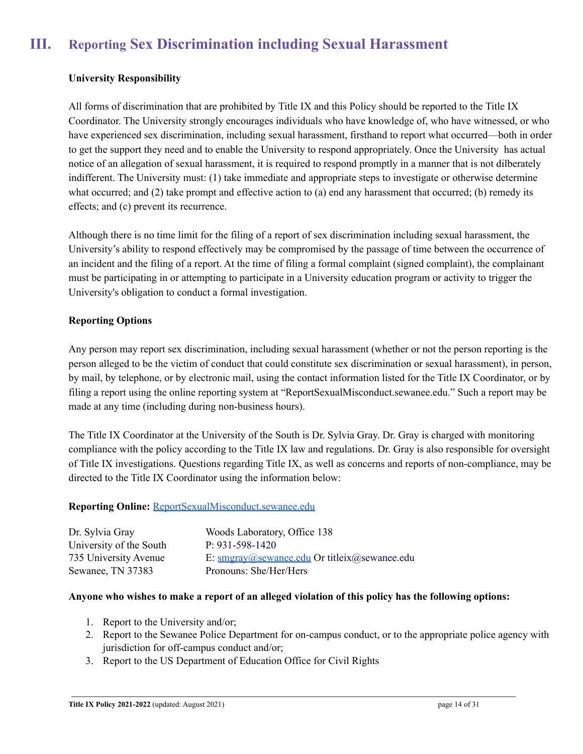# **III. Reporting Sex Discrimination including Sexual Harassment**

### <span id="page-13-0"></span>**University Responsibility**

All forms of discrimination that are prohibited by Title IX and this Policy should be reported to the Title IX Coordinator. The University strongly encourages individuals who have knowledge of, who have witnessed, or who have experienced sex discrimination, including sexual harassment, firsthand to report what occurred—both in order to get the support they need and to enable the University to respond appropriately. Once the University has actual notice of an allegation of sexual harassment, it is required to respond promptly in a manner that is not dilberately indifferent. The University must: (1) take immediate and appropriate steps to investigate or otherwise determine what occurred; and (2) take prompt and effective action to (a) end any harassment that occurred; (b) remedy its effects; and (c) prevent its recurrence.

Although there is no time limit for the filing of a report of sex discrimination including sexual harassment, the University's ability to respond effectively may be compromised by the passage of time between the occurrence of an incident and the filing of a report. At the time of filing a formal complaint (signed complaint), the complainant must be participating in or attempting to participate in a University education program or activity to trigger the University's obligation to conduct a formal investigation.

### **Reporting Options**

Any person may report sex discrimination, including sexual harassment (whether or not the person reporting is the person alleged to be the victim of conduct that could constitute sex discrimination or sexual harassment), in person, by mail, by telephone, or by electronic mail, using the contact information listed for the Title IX Coordinator, or by filing a report using the online reporting system at "ReportSexualMisconduct.sewanee.edu." Such a report may be made at any time (including during non-business hours).

The Title IX Coordinator at the University of the South is Dr. Sylvia Gray. Dr. Gray is charged with monitoring compliance with the policy according to the Title IX law and regulations. Dr. Gray is also responsible for oversight of Title IX investigations. Questions regarding Title IX, as well as concerns and reports of non-compliance, may be directed to the Title IX Coordinator using the information below:

#### **Reporting Online:** [ReportSexualMisconduct.sewanee.edu](http://reportsexualmisconduct.sewanee.edu)

| Dr. Sylvia Gray         | Woods Laboratory, Office 138                                                                                          |
|-------------------------|-----------------------------------------------------------------------------------------------------------------------|
| University of the South | $P: 931 - 598 - 1420$                                                                                                 |
| 735 University Avenue   | E: $\frac{\text{smgrav}(a)\text{sewanee.edu}}{\text{smgrav}(a)\text{sewanee.edu}}$ Or titleix $(a)\text{sewanee.edu}$ |
| Sewanee, TN 37383       | Pronouns: She/Her/Hers                                                                                                |

#### Anyone who wishes to make a report of an alleged violation of this policy has the following options:

- 1. Report to the University and/or;
- 2. Report to the Sewanee Police Department for on-campus conduct, or to the appropriate police agency with jurisdiction for off-campus conduct and/or;
- 3. Report to the US Department of Education Office for Civil Rights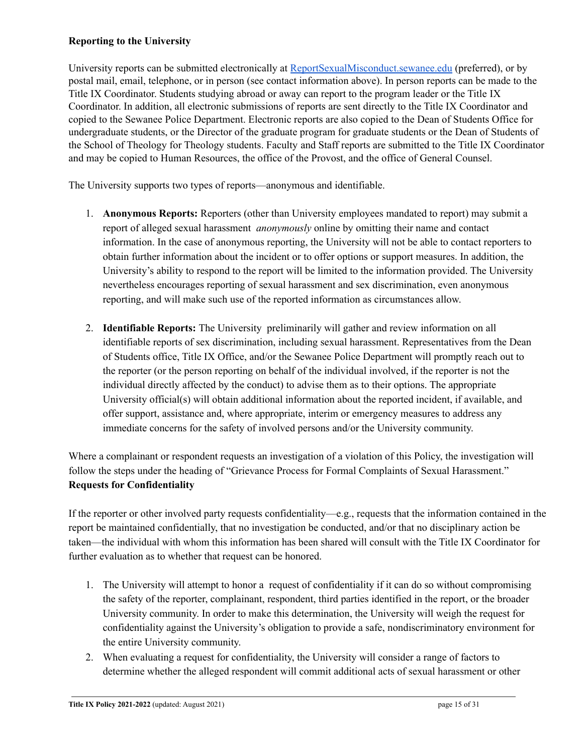### **Reporting to the University**

University reports can be submitted electronically at [ReportSexualMisconduct.sewanee.edu](https://cm.maxient.com/reportingform.php?Sewanee&layout_id=3) (preferred), or by postal mail, email, telephone, or in person (see contact information above). In person reports can be made to the Title IX Coordinator. Students studying abroad or away can report to the program leader or the Title IX Coordinator. In addition, all electronic submissions of reports are sent directly to the Title IX Coordinator and copied to the Sewanee Police Department. Electronic reports are also copied to the Dean of Students Office for undergraduate students, or the Director of the graduate program for graduate students or the Dean of Students of the School of Theology for Theology students. Faculty and Staff reports are submitted to the Title IX Coordinator and may be copied to Human Resources, the office of the Provost, and the office of General Counsel.

The University supports two types of reports—anonymous and identifiable.

- 1. **Anonymous Reports:** Reporters (other than University employees mandated to report) may submit a report of alleged sexual harassment *anonymously* online by omitting their name and contact information. In the case of anonymous reporting, the University will not be able to contact reporters to obtain further information about the incident or to offer options or support measures. In addition, the University's ability to respond to the report will be limited to the information provided. The University nevertheless encourages reporting of sexual harassment and sex discrimination, even anonymous reporting, and will make such use of the reported information as circumstances allow.
- 2. **Identifiable Reports:** The University preliminarily will gather and review information on all identifiable reports of sex discrimination, including sexual harassment. Representatives from the Dean of Students office, Title IX Office, and/or the Sewanee Police Department will promptly reach out to the reporter (or the person reporting on behalf of the individual involved, if the reporter is not the individual directly affected by the conduct) to advise them as to their options. The appropriate University official(s) will obtain additional information about the reported incident, if available, and offer support, assistance and, where appropriate, interim or emergency measures to address any immediate concerns for the safety of involved persons and/or the University community.

Where a complainant or respondent requests an investigation of a violation of this Policy, the investigation will follow the steps under the heading of "Grievance Process for Formal Complaints of Sexual Harassment." **Requests for Confidentiality**

If the reporter or other involved party requests confidentiality—e.g., requests that the information contained in the report be maintained confidentially, that no investigation be conducted, and/or that no disciplinary action be taken—the individual with whom this information has been shared will consult with the Title IX Coordinator for further evaluation as to whether that request can be honored.

- 1. The University will attempt to honor a request of confidentiality if it can do so without compromising the safety of the reporter, complainant, respondent, third parties identified in the report, or the broader University community. In order to make this determination, the University will weigh the request for confidentiality against the University's obligation to provide a safe, nondiscriminatory environment for the entire University community.
- 2. When evaluating a request for confidentiality, the University will consider a range of factors to determine whether the alleged respondent will commit additional acts of sexual harassment or other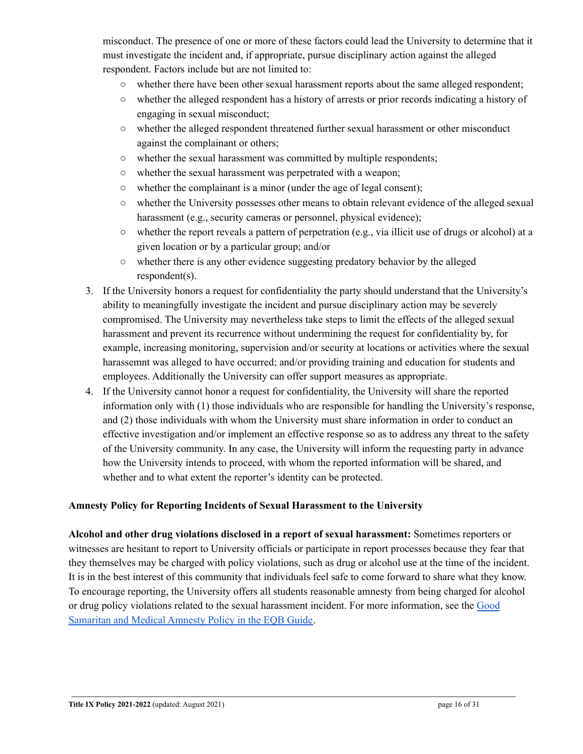misconduct. The presence of one or more of these factors could lead the University to determine that it must investigate the incident and, if appropriate, pursue disciplinary action against the alleged respondent. Factors include but are not limited to:

- whether there have been other sexual harassment reports about the same alleged respondent;
- whether the alleged respondent has a history of arrests or prior records indicating a history of engaging in sexual misconduct;
- whether the alleged respondent threatened further sexual harassment or other misconduct against the complainant or others;
- whether the sexual harassment was committed by multiple respondents;
- whether the sexual harassment was perpetrated with a weapon;
- whether the complainant is a minor (under the age of legal consent);
- whether the University possesses other means to obtain relevant evidence of the alleged sexual harassment (e.g., security cameras or personnel, physical evidence);
- whether the report reveals a pattern of perpetration (e.g., via illicit use of drugs or alcohol) at a given location or by a particular group; and/or
- whether there is any other evidence suggesting predatory behavior by the alleged respondent(s).
- 3. If the University honors a request for confidentiality the party should understand that the University's ability to meaningfully investigate the incident and pursue disciplinary action may be severely compromised. The University may nevertheless take steps to limit the effects of the alleged sexual harassment and prevent its recurrence without undermining the request for confidentiality by, for example, increasing monitoring, supervision and/or security at locations or activities where the sexual harassemnt was alleged to have occurred; and/or providing training and education for students and employees. Additionally the University can offer support measures as appropriate.
- 4. If the University cannot honor a request for confidentiality, the University will share the reported information only with (1) those individuals who are responsible for handling the University's response, and (2) those individuals with whom the University must share information in order to conduct an effective investigation and/or implement an effective response so as to address any threat to the safety of the University community. In any case, the University will inform the requesting party in advance how the University intends to proceed, with whom the reported information will be shared, and whether and to what extent the reporter's identity can be protected.

### **Amnesty Policy for Reporting Incidents of Sexual Harassment to the University**

**Alcohol and other drug violations disclosed in a report of sexual harassment:** Sometimes reporters or witnesses are hesitant to report to University officials or participate in report processes because they fear that they themselves may be charged with policy violations, such as drug or alcohol use at the time of the incident. It is in the best interest of this community that individuals feel safe to come forward to share what they know. To encourage reporting, the University offers all students reasonable amnesty from being charged for alcohol or drug policy violations related to the sexual harassment incident. For more information, see the [Good](https://new.sewanee.edu/files/resources/eqb-guide-for-living-in-community-2.pdf) [Samaritan](https://new.sewanee.edu/files/resources/eqb-guide-for-living-in-community-2.pdf) and Medical Amnesty Policy in the EQB Guide.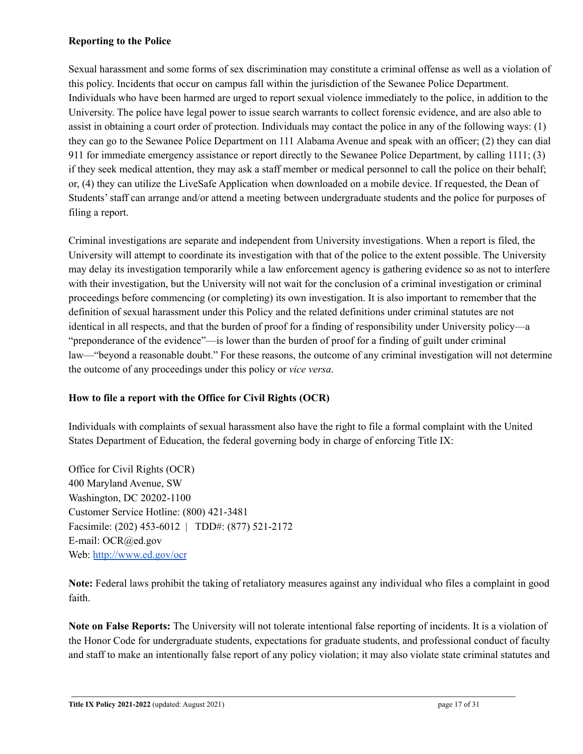### **Reporting to the Police**

Sexual harassment and some forms of sex discrimination may constitute a criminal offense as well as a violation of this policy. Incidents that occur on campus fall within the jurisdiction of the Sewanee Police Department. Individuals who have been harmed are urged to report sexual violence immediately to the police, in addition to the University. The police have legal power to issue search warrants to collect forensic evidence, and are also able to assist in obtaining a court order of protection. Individuals may contact the police in any of the following ways: (1) they can go to the Sewanee Police Department on 111 Alabama Avenue and speak with an officer; (2) they can dial 911 for immediate emergency assistance or report directly to the Sewanee Police Department, by calling 1111; (3) if they seek medical attention, they may ask a staff member or medical personnel to call the police on their behalf; or, (4) they can utilize the LiveSafe Application when downloaded on a mobile device. If requested, the Dean of Students'staff can arrange and/or attend a meeting between undergraduate students and the police for purposes of filing a report.

Criminal investigations are separate and independent from University investigations. When a report is filed, the University will attempt to coordinate its investigation with that of the police to the extent possible. The University may delay its investigation temporarily while a law enforcement agency is gathering evidence so as not to interfere with their investigation, but the University will not wait for the conclusion of a criminal investigation or criminal proceedings before commencing (or completing) its own investigation. It is also important to remember that the definition of sexual harassment under this Policy and the related definitions under criminal statutes are not identical in all respects, and that the burden of proof for a finding of responsibility under University policy—a "preponderance of the evidence"—is lower than the burden of proof for a finding of guilt under criminal law—"beyond a reasonable doubt." For these reasons, the outcome of any criminal investigation will not determine the outcome of any proceedings under this policy or *vice versa*.

### **How to file a report with the Office for Civil Rights (OCR)**

Individuals with complaints of sexual harassment also have the right to file a formal complaint with the United States Department of Education, the federal governing body in charge of enforcing Title IX:

Office for Civil Rights (OCR) 400 Maryland Avenue, SW Washington, DC 20202-1100 Customer Service Hotline: (800) 421-3481 Facsimile: (202) 453-6012 | TDD#: (877) 521-2172 E-mail: OCR@ed.gov Web: <http://www.ed.gov/ocr>

**Note:** Federal laws prohibit the taking of retaliatory measures against any individual who files a complaint in good faith.

**Note on False Reports:** The University will not tolerate intentional false reporting of incidents. It is a violation of the Honor Code for undergraduate students, expectations for graduate students, and professional conduct of faculty and staff to make an intentionally false report of any policy violation; it may also violate state criminal statutes and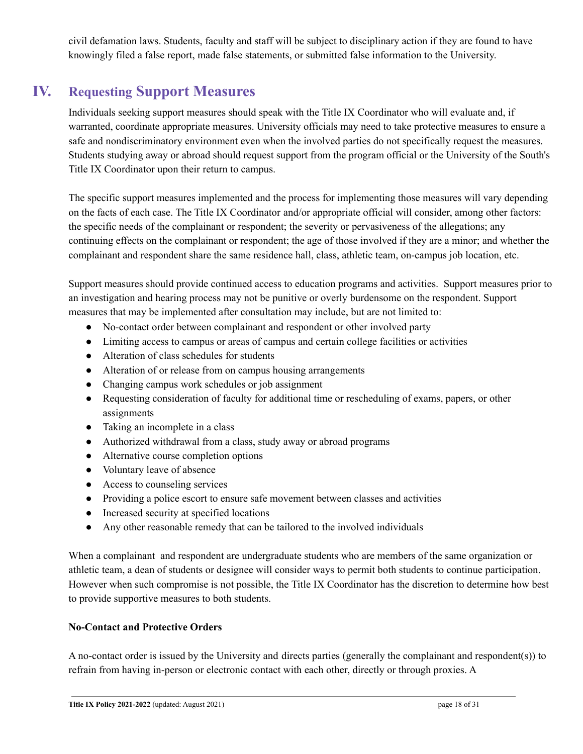civil defamation laws. Students, faculty and staff will be subject to disciplinary action if they are found to have knowingly filed a false report, made false statements, or submitted false information to the University.

# **IV. Requesting Support Measures**

<span id="page-17-0"></span>Individuals seeking support measures should speak with the Title IX Coordinator who will evaluate and, if warranted, coordinate appropriate measures. University officials may need to take protective measures to ensure a safe and nondiscriminatory environment even when the involved parties do not specifically request the measures. Students studying away or abroad should request support from the program official or the University of the South's Title IX Coordinator upon their return to campus.

The specific support measures implemented and the process for implementing those measures will vary depending on the facts of each case. The Title IX Coordinator and/or appropriate official will consider, among other factors: the specific needs of the complainant or respondent; the severity or pervasiveness of the allegations; any continuing effects on the complainant or respondent; the age of those involved if they are a minor; and whether the complainant and respondent share the same residence hall, class, athletic team, on-campus job location, etc.

Support measures should provide continued access to education programs and activities. Support measures prior to an investigation and hearing process may not be punitive or overly burdensome on the respondent. Support measures that may be implemented after consultation may include, but are not limited to:

- No-contact order between complainant and respondent or other involved party
- Limiting access to campus or areas of campus and certain college facilities or activities
- Alteration of class schedules for students
- Alteration of or release from on campus housing arrangements
- Changing campus work schedules or job assignment
- Requesting consideration of faculty for additional time or rescheduling of exams, papers, or other assignments
- Taking an incomplete in a class
- Authorized withdrawal from a class, study away or abroad programs
- Alternative course completion options
- Voluntary leave of absence
- Access to counseling services
- Providing a police escort to ensure safe movement between classes and activities
- Increased security at specified locations
- Any other reasonable remedy that can be tailored to the involved individuals

When a complainant and respondent are undergraduate students who are members of the same organization or athletic team, a dean of students or designee will consider ways to permit both students to continue participation. However when such compromise is not possible, the Title IX Coordinator has the discretion to determine how best to provide supportive measures to both students.

### **No-Contact and Protective Orders**

A no-contact order is issued by the University and directs parties (generally the complainant and respondent(s)) to refrain from having in-person or electronic contact with each other, directly or through proxies. A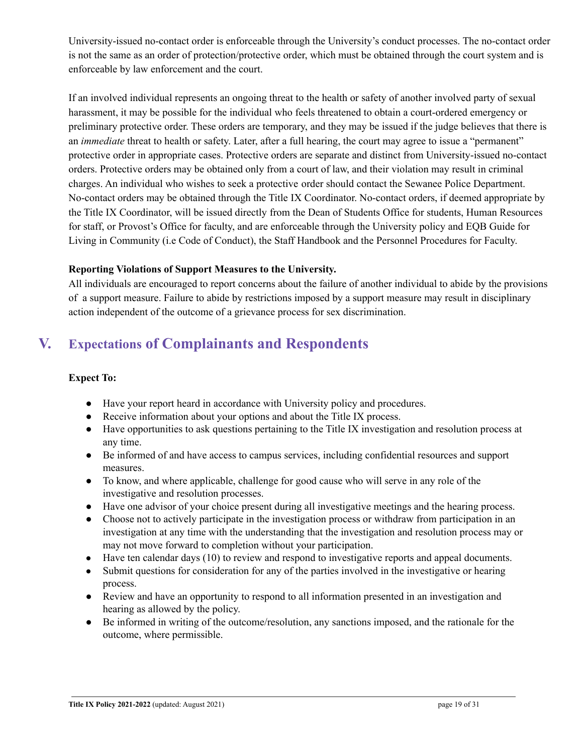University-issued no-contact order is enforceable through the University's conduct processes. The no-contact order is not the same as an order of protection/protective order, which must be obtained through the court system and is enforceable by law enforcement and the court.

If an involved individual represents an ongoing threat to the health or safety of another involved party of sexual harassment, it may be possible for the individual who feels threatened to obtain a court-ordered emergency or preliminary protective order. These orders are temporary, and they may be issued if the judge believes that there is an *immediate* threat to health or safety. Later, after a full hearing, the court may agree to issue a "permanent" protective order in appropriate cases. Protective orders are separate and distinct from University-issued no-contact orders. Protective orders may be obtained only from a court of law, and their violation may result in criminal charges. An individual who wishes to seek a protective order should contact the Sewanee Police Department. No-contact orders may be obtained through the Title IX Coordinator. No-contact orders, if deemed appropriate by the Title IX Coordinator, will be issued directly from the Dean of Students Office for students, Human Resources for staff, or Provost's Office for faculty, and are enforceable through the University policy and EQB Guide for Living in Community (i.e Code of Conduct), the Staff Handbook and the Personnel Procedures for Faculty.

### **Reporting Violations of Support Measures to the University.**

All individuals are encouraged to report concerns about the failure of another individual to abide by the provisions of a support measure. Failure to abide by restrictions imposed by a support measure may result in disciplinary action independent of the outcome of a grievance process for sex discrimination.

# <span id="page-18-0"></span>**V. Expectations of Complainants and Respondents**

### **Expect To:**

- Have your report heard in accordance with University policy and procedures.
- Receive information about your options and about the Title IX process.
- Have opportunities to ask questions pertaining to the Title IX investigation and resolution process at any time.
- Be informed of and have access to campus services, including confidential resources and support measures.
- To know, and where applicable, challenge for good cause who will serve in any role of the investigative and resolution processes.
- Have one advisor of your choice present during all investigative meetings and the hearing process.
- Choose not to actively participate in the investigation process or withdraw from participation in an investigation at any time with the understanding that the investigation and resolution process may or may not move forward to completion without your participation.
- Have ten calendar days (10) to review and respond to investigative reports and appeal documents.
- Submit questions for consideration for any of the parties involved in the investigative or hearing process.
- Review and have an opportunity to respond to all information presented in an investigation and hearing as allowed by the policy.
- Be informed in writing of the outcome/resolution, any sanctions imposed, and the rationale for the outcome, where permissible.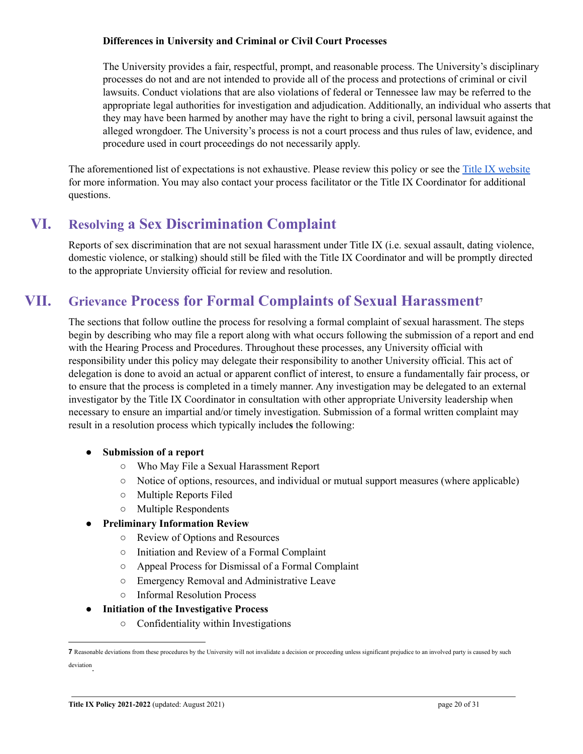#### **Differences in University and Criminal or Civil Court Processes**

The University provides a fair, respectful, prompt, and reasonable process. The University's disciplinary processes do not and are not intended to provide all of the process and protections of criminal or civil lawsuits. Conduct violations that are also violations of federal or Tennessee law may be referred to the appropriate legal authorities for investigation and adjudication. Additionally, an individual who asserts that they may have been harmed by another may have the right to bring a civil, personal lawsuit against the alleged wrongdoer. The University's process is not a court process and thus rules of law, evidence, and procedure used in court proceedings do not necessarily apply.

The aforementioned list of expectations is not exhaustive. Please review this policy or see the Title IX [website](https://new.sewanee.edu/titleix/) for more information. You may also contact your process facilitator or the Title IX Coordinator for additional questions.

# **VI. Resolving a Sex Discrimination Complaint**

<span id="page-19-0"></span>Reports of sex discrimination that are not sexual harassment under Title IX (i.e. sexual assault, dating violence, domestic violence, or stalking) should still be filed with the Title IX Coordinator and will be promptly directed to the appropriate Unviersity official for review and resolution.

# **VII. Grievance Process for Formal Complaints of Sexual Harassment 7**

<span id="page-19-1"></span>The sections that follow outline the process for resolving a formal complaint of sexual harassment. The steps begin by describing who may file a report along with what occurs following the submission of a report and end with the Hearing Process and Procedures. Throughout these processes, any University official with responsibility under this policy may delegate their responsibility to another University official. This act of delegation is done to avoid an actual or apparent conflict of interest, to ensure a fundamentally fair process, or to ensure that the process is completed in a timely manner. Any investigation may be delegated to an external investigator by the Title IX Coordinator in consultation with other appropriate University leadership when necessary to ensure an impartial and/or timely investigation. Submission of a formal written complaint may result in a resolution process which typically include**s** the following:

- **● Submission of a report**
	- Who May File a Sexual Harassment Report
	- Notice of options, resources, and individual or mutual support measures (where applicable)
	- Multiple Reports Filed
	- Multiple Respondents

### **● Preliminary Information Review**

- Review of Options and Resources
- Initiation and Review of a Formal Complaint
- Appeal Process for Dismissal of a Formal Complaint
- Emergency Removal and Administrative Leave
- Informal Resolution Process
- **● Initiation of the Investigative Process**
	- Confidentiality within Investigations

**<sup>7</sup>** Reasonable deviations from these procedures by the University will not invalidate a decision or proceeding unless significant prejudice to an involved party is caused by such deviation .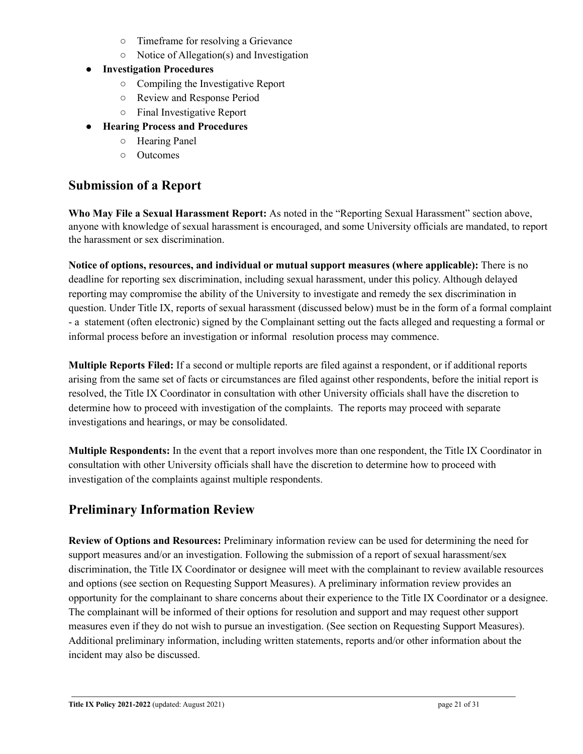- Timeframe for resolving a Grievance
- Notice of Allegation(s) and Investigation
- **● Investigation Procedures**
	- Compiling the Investigative Report
	- Review and Response Period
	- Final Investigative Report
- **Hearing Process and Procedures**
	- Hearing Panel
	- Outcomes

# **Submission of a Report**

**Who May File a Sexual Harassment Report:** As noted in the "Reporting Sexual Harassment" section above, anyone with knowledge of sexual harassment is encouraged, and some University officials are mandated, to report the harassment or sex discrimination.

**Notice of options, resources, and individual or mutual support measures (where applicable):** There is no deadline for reporting sex discrimination, including sexual harassment, under this policy. Although delayed reporting may compromise the ability of the University to investigate and remedy the sex discrimination in question. Under Title IX, reports of sexual harassment (discussed below) must be in the form of a formal complaint - a statement (often electronic) signed by the Complainant setting out the facts alleged and requesting a formal or informal process before an investigation or informal resolution process may commence.

**Multiple Reports Filed:** If a second or multiple reports are filed against a respondent, or if additional reports arising from the same set of facts or circumstances are filed against other respondents, before the initial report is resolved, the Title IX Coordinator in consultation with other University officials shall have the discretion to determine how to proceed with investigation of the complaints. The reports may proceed with separate investigations and hearings, or may be consolidated.

**Multiple Respondents:** In the event that a report involves more than one respondent, the Title IX Coordinator in consultation with other University officials shall have the discretion to determine how to proceed with investigation of the complaints against multiple respondents.

# **Preliminary Information Review**

**Review of Options and Resources:** Preliminary information review can be used for determining the need for support measures and/or an investigation. Following the submission of a report of sexual harassment/sex discrimination, the Title IX Coordinator or designee will meet with the complainant to review available resources and options (see section on Requesting Support Measures). A preliminary information review provides an opportunity for the complainant to share concerns about their experience to the Title IX Coordinator or a designee. The complainant will be informed of their options for resolution and support and may request other support measures even if they do not wish to pursue an investigation. (See section on Requesting Support Measures). Additional preliminary information, including written statements, reports and/or other information about the incident may also be discussed.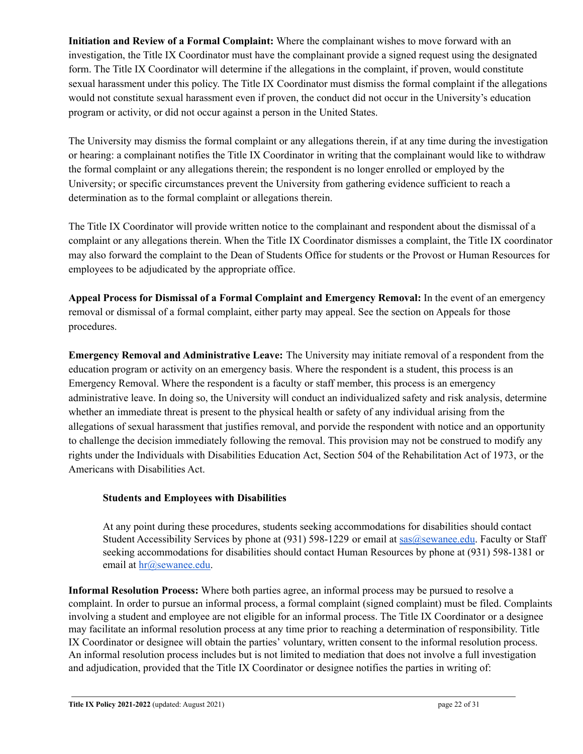**Initiation and Review of a Formal Complaint:** Where the complainant wishes to move forward with an investigation, the Title IX Coordinator must have the complainant provide a signed request using the designated form. The Title IX Coordinator will determine if the allegations in the complaint, if proven, would constitute sexual harassment under this policy. The Title IX Coordinator must dismiss the formal complaint if the allegations would not constitute sexual harassment even if proven, the conduct did not occur in the University's education program or activity, or did not occur against a person in the United States.

The University may dismiss the formal complaint or any allegations therein, if at any time during the investigation or hearing: a complainant notifies the Title IX Coordinator in writing that the complainant would like to withdraw the formal complaint or any allegations therein; the respondent is no longer enrolled or employed by the University; or specific circumstances prevent the University from gathering evidence sufficient to reach a determination as to the formal complaint or allegations therein.

The Title IX Coordinator will provide written notice to the complainant and respondent about the dismissal of a complaint or any allegations therein. When the Title IX Coordinator dismisses a complaint, the Title IX coordinator may also forward the complaint to the Dean of Students Office for students or the Provost or Human Resources for employees to be adjudicated by the appropriate office.

**Appeal Process for Dismissal of a Formal Complaint and Emergency Removal:** In the event of an emergency removal or dismissal of a formal complaint, either party may appeal. See the section on Appeals for those procedures.

**Emergency Removal and Administrative Leave:** The University may initiate removal of a respondent from the education program or activity on an emergency basis. Where the respondent is a student, this process is an Emergency Removal. Where the respondent is a faculty or staff member, this process is an emergency administrative leave. In doing so, the University will conduct an individualized safety and risk analysis, determine whether an immediate threat is present to the physical health or safety of any individual arising from the allegations of sexual harassment that justifies removal, and porvide the respondent with notice and an opportunity to challenge the decision immediately following the removal. This provision may not be construed to modify any rights under the Individuals with Disabilities Education Act, Section 504 of the Rehabilitation Act of 1973, or the Americans with Disabilities Act.

### **Students and Employees with Disabilities**

At any point during these procedures, students seeking accommodations for disabilities should contact Student Accessibility Services by phone at (931) 598-1229 or email at  $sas@$ sewanee.edu. Faculty or Staff seeking accommodations for disabilities should contact Human Resources by phone at (931) 598-1381 or email at [hr@sewanee.edu.](mailto:hr@sewanee.edu)

**Informal Resolution Process:** Where both parties agree, an informal process may be pursued to resolve a complaint. In order to pursue an informal process, a formal complaint (signed complaint) must be filed. Complaints involving a student and employee are not eligible for an informal process. The Title IX Coordinator or a designee may facilitate an informal resolution process at any time prior to reaching a determination of responsibility. Title IX Coordinator or designee will obtain the parties' voluntary, written consent to the informal resolution process. An informal resolution process includes but is not limited to mediation that does not involve a full investigation and adjudication, provided that the Title IX Coordinator or designee notifies the parties in writing of: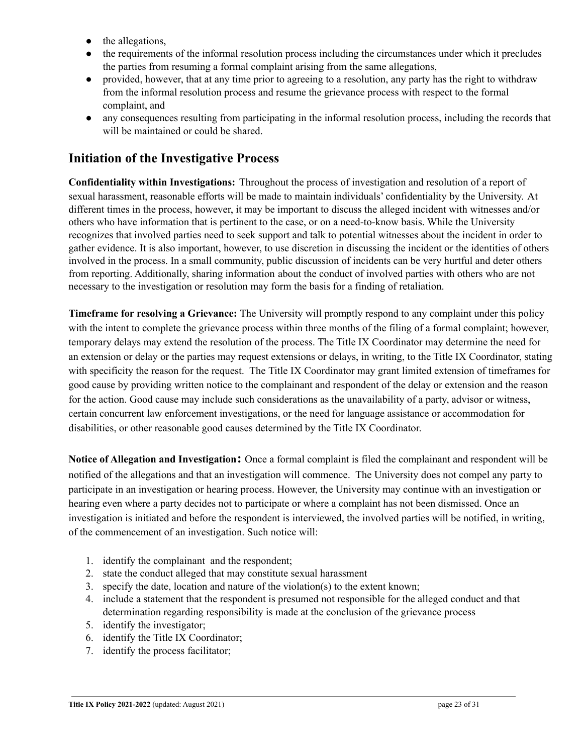- the allegations,
- the requirements of the informal resolution process including the circumstances under which it precludes the parties from resuming a formal complaint arising from the same allegations,
- provided, however, that at any time prior to agreeing to a resolution, any party has the right to withdraw from the informal resolution process and resume the grievance process with respect to the formal complaint, and
- any consequences resulting from participating in the informal resolution process, including the records that will be maintained or could be shared.

# **Initiation of the Investigative Process**

**Confidentiality within Investigations:** Throughout the process of investigation and resolution of a report of sexual harassment, reasonable efforts will be made to maintain individuals' confidentiality by the University. At different times in the process, however, it may be important to discuss the alleged incident with witnesses and/or others who have information that is pertinent to the case, or on a need-to-know basis. While the University recognizes that involved parties need to seek support and talk to potential witnesses about the incident in order to gather evidence. It is also important, however, to use discretion in discussing the incident or the identities of others involved in the process. In a small community, public discussion of incidents can be very hurtful and deter others from reporting. Additionally, sharing information about the conduct of involved parties with others who are not necessary to the investigation or resolution may form the basis for a finding of retaliation.

**Timeframe for resolving a Grievance:** The University will promptly respond to any complaint under this policy with the intent to complete the grievance process within three months of the filing of a formal complaint; however, temporary delays may extend the resolution of the process. The Title IX Coordinator may determine the need for an extension or delay or the parties may request extensions or delays, in writing, to the Title IX Coordinator, stating with specificity the reason for the request. The Title IX Coordinator may grant limited extension of timeframes for good cause by providing written notice to the complainant and respondent of the delay or extension and the reason for the action. Good cause may include such considerations as the unavailability of a party, advisor or witness, certain concurrent law enforcement investigations, or the need for language assistance or accommodation for disabilities, or other reasonable good causes determined by the Title IX Coordinator.

**Notice of Allegation and Investigation:** Once a formal complaint is filed the complainant and respondent will be notified of the allegations and that an investigation will commence. The University does not compel any party to participate in an investigation or hearing process. However, the University may continue with an investigation or hearing even where a party decides not to participate or where a complaint has not been dismissed. Once an investigation is initiated and before the respondent is interviewed, the involved parties will be notified, in writing, of the commencement of an investigation. Such notice will:

- 1. identify the complainant and the respondent;
- 2. state the conduct alleged that may constitute sexual harassment
- 3. specify the date, location and nature of the violation(s) to the extent known;
- 4. include a statement that the respondent is presumed not responsible for the alleged conduct and that determination regarding responsibility is made at the conclusion of the grievance process
- 5. identify the investigator;
- 6. identify the Title IX Coordinator;
- 7. identify the process facilitator;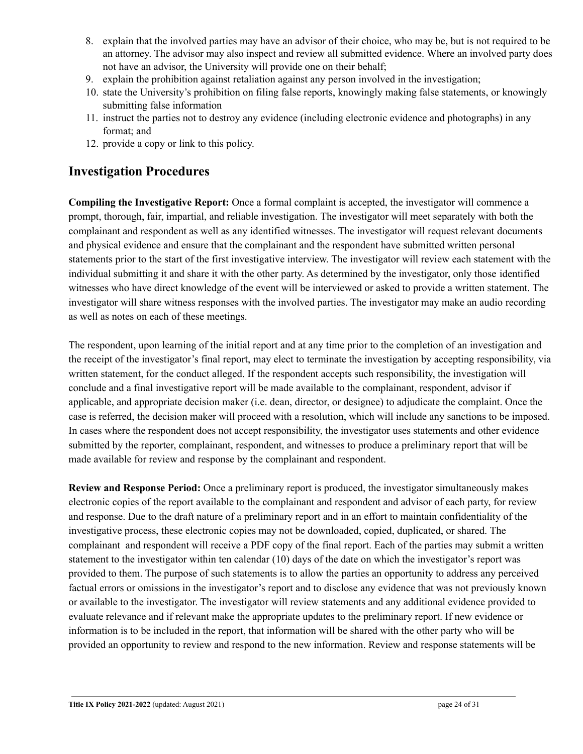- 8. explain that the involved parties may have an advisor of their choice, who may be, but is not required to be an attorney. The advisor may also inspect and review all submitted evidence. Where an involved party does not have an advisor, the University will provide one on their behalf;
- 9. explain the prohibition against retaliation against any person involved in the investigation;
- 10. state the University's prohibition on filing false reports, knowingly making false statements, or knowingly submitting false information
- 11. instruct the parties not to destroy any evidence (including electronic evidence and photographs) in any format; and
- 12. provide a copy or link to this policy.

# **Investigation Procedures**

**Compiling the Investigative Report:** Once a formal complaint is accepted, the investigator will commence a prompt, thorough, fair, impartial, and reliable investigation. The investigator will meet separately with both the complainant and respondent as well as any identified witnesses. The investigator will request relevant documents and physical evidence and ensure that the complainant and the respondent have submitted written personal statements prior to the start of the first investigative interview. The investigator will review each statement with the individual submitting it and share it with the other party. As determined by the investigator, only those identified witnesses who have direct knowledge of the event will be interviewed or asked to provide a written statement. The investigator will share witness responses with the involved parties. The investigator may make an audio recording as well as notes on each of these meetings.

The respondent, upon learning of the initial report and at any time prior to the completion of an investigation and the receipt of the investigator's final report, may elect to terminate the investigation by accepting responsibility, via written statement, for the conduct alleged. If the respondent accepts such responsibility, the investigation will conclude and a final investigative report will be made available to the complainant, respondent, advisor if applicable, and appropriate decision maker (i.e. dean, director, or designee) to adjudicate the complaint. Once the case is referred, the decision maker will proceed with a resolution, which will include any sanctions to be imposed. In cases where the respondent does not accept responsibility, the investigator uses statements and other evidence submitted by the reporter, complainant, respondent, and witnesses to produce a preliminary report that will be made available for review and response by the complainant and respondent.

**Review and Response Period:** Once a preliminary report is produced, the investigator simultaneously makes electronic copies of the report available to the complainant and respondent and advisor of each party, for review and response. Due to the draft nature of a preliminary report and in an effort to maintain confidentiality of the investigative process, these electronic copies may not be downloaded, copied, duplicated, or shared. The complainant and respondent will receive a PDF copy of the final report. Each of the parties may submit a written statement to the investigator within ten calendar (10) days of the date on which the investigator's report was provided to them. The purpose of such statements is to allow the parties an opportunity to address any perceived factual errors or omissions in the investigator's report and to disclose any evidence that was not previously known or available to the investigator. The investigator will review statements and any additional evidence provided to evaluate relevance and if relevant make the appropriate updates to the preliminary report. If new evidence or information is to be included in the report, that information will be shared with the other party who will be provided an opportunity to review and respond to the new information. Review and response statements will be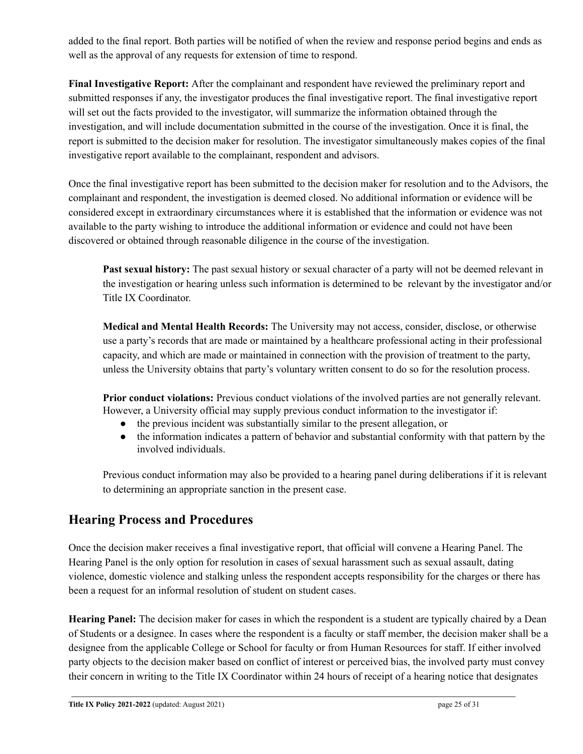added to the final report. Both parties will be notified of when the review and response period begins and ends as well as the approval of any requests for extension of time to respond.

**Final Investigative Report:** After the complainant and respondent have reviewed the preliminary report and submitted responses if any, the investigator produces the final investigative report. The final investigative report will set out the facts provided to the investigator, will summarize the information obtained through the investigation, and will include documentation submitted in the course of the investigation. Once it is final, the report is submitted to the decision maker for resolution. The investigator simultaneously makes copies of the final investigative report available to the complainant, respondent and advisors.

Once the final investigative report has been submitted to the decision maker for resolution and to the Advisors, the complainant and respondent, the investigation is deemed closed. No additional information or evidence will be considered except in extraordinary circumstances where it is established that the information or evidence was not available to the party wishing to introduce the additional information or evidence and could not have been discovered or obtained through reasonable diligence in the course of the investigation.

**Past sexual history:** The past sexual history or sexual character of a party will not be deemed relevant in the investigation or hearing unless such information is determined to be relevant by the investigator and/or Title IX Coordinator.

**Medical and Mental Health Records:** The University may not access, consider, disclose, or otherwise use a party's records that are made or maintained by a healthcare professional acting in their professional capacity, and which are made or maintained in connection with the provision of treatment to the party, unless the University obtains that party's voluntary written consent to do so for the resolution process.

**Prior conduct violations:** Previous conduct violations of the involved parties are not generally relevant. However, a University official may supply previous conduct information to the investigator if:

- the previous incident was substantially similar to the present allegation, or
- the information indicates a pattern of behavior and substantial conformity with that pattern by the involved individuals.

Previous conduct information may also be provided to a hearing panel during deliberations if it is relevant to determining an appropriate sanction in the present case.

# **Hearing Process and Procedures**

Once the decision maker receives a final investigative report, that official will convene a Hearing Panel. The Hearing Panel is the only option for resolution in cases of sexual harassment such as sexual assault, dating violence, domestic violence and stalking unless the respondent accepts responsibility for the charges or there has been a request for an informal resolution of student on student cases.

**Hearing Panel:** The decision maker for cases in which the respondent is a student are typically chaired by a Dean of Students or a designee. In cases where the respondent is a faculty or staff member, the decision maker shall be a designee from the applicable College or School for faculty or from Human Resources for staff. If either involved party objects to the decision maker based on conflict of interest or perceived bias, the involved party must convey their concern in writing to the Title IX Coordinator within 24 hours of receipt of a hearing notice that designates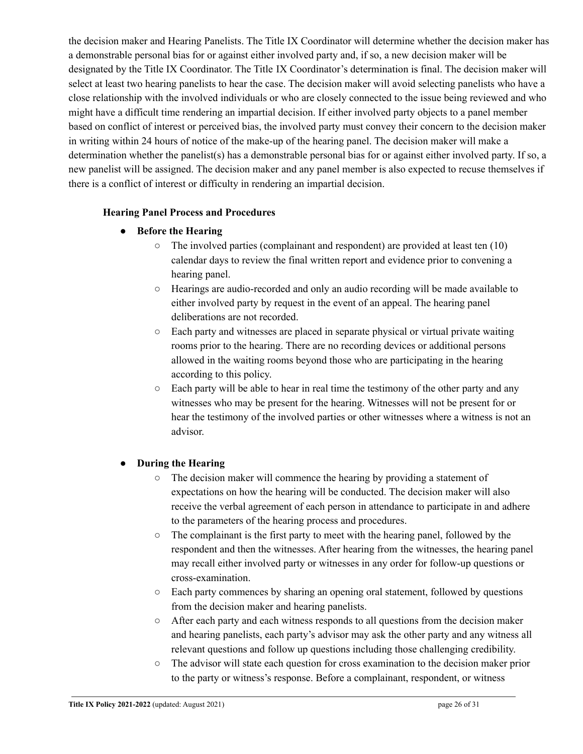the decision maker and Hearing Panelists. The Title IX Coordinator will determine whether the decision maker has a demonstrable personal bias for or against either involved party and, if so, a new decision maker will be designated by the Title IX Coordinator. The Title IX Coordinator's determination is final. The decision maker will select at least two hearing panelists to hear the case. The decision maker will avoid selecting panelists who have a close relationship with the involved individuals or who are closely connected to the issue being reviewed and who might have a difficult time rendering an impartial decision. If either involved party objects to a panel member based on conflict of interest or perceived bias, the involved party must convey their concern to the decision maker in writing within 24 hours of notice of the make-up of the hearing panel. The decision maker will make a determination whether the panelist(s) has a demonstrable personal bias for or against either involved party. If so, a new panelist will be assigned. The decision maker and any panel member is also expected to recuse themselves if there is a conflict of interest or difficulty in rendering an impartial decision.

### **Hearing Panel Process and Procedures**

- **● Before the Hearing**
	- The involved parties (complainant and respondent) are provided at least ten (10) calendar days to review the final written report and evidence prior to convening a hearing panel.
	- Hearings are audio-recorded and only an audio recording will be made available to either involved party by request in the event of an appeal. The hearing panel deliberations are not recorded.
	- Each party and witnesses are placed in separate physical or virtual private waiting rooms prior to the hearing. There are no recording devices or additional persons allowed in the waiting rooms beyond those who are participating in the hearing according to this policy.
	- $\circ$  Each party will be able to hear in real time the testimony of the other party and any witnesses who may be present for the hearing. Witnesses will not be present for or hear the testimony of the involved parties or other witnesses where a witness is not an advisor.

### **● During the Hearing**

- The decision maker will commence the hearing by providing a statement of expectations on how the hearing will be conducted. The decision maker will also receive the verbal agreement of each person in attendance to participate in and adhere to the parameters of the hearing process and procedures.
- The complainant is the first party to meet with the hearing panel, followed by the respondent and then the witnesses. After hearing from the witnesses, the hearing panel may recall either involved party or witnesses in any order for follow-up questions or cross-examination.
- Each party commences by sharing an opening oral statement, followed by questions from the decision maker and hearing panelists.
- After each party and each witness responds to all questions from the decision maker and hearing panelists, each party's advisor may ask the other party and any witness all relevant questions and follow up questions including those challenging credibility.
- The advisor will state each question for cross examination to the decision maker prior to the party or witness's response. Before a complainant, respondent, or witness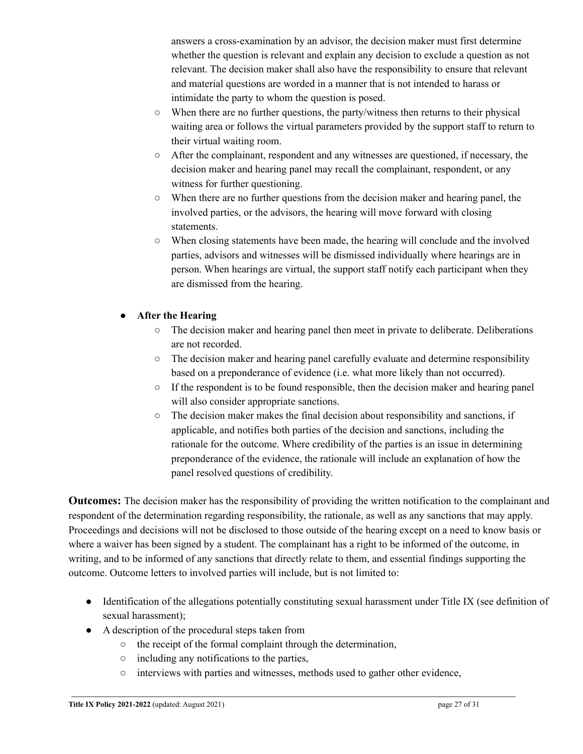answers a cross-examination by an advisor, the decision maker must first determine whether the question is relevant and explain any decision to exclude a question as not relevant. The decision maker shall also have the responsibility to ensure that relevant and material questions are worded in a manner that is not intended to harass or intimidate the party to whom the question is posed.

- $\circ$  When there are no further questions, the party/witness then returns to their physical waiting area or follows the virtual parameters provided by the support staff to return to their virtual waiting room.
- After the complainant, respondent and any witnesses are questioned, if necessary, the decision maker and hearing panel may recall the complainant, respondent, or any witness for further questioning.
- When there are no further questions from the decision maker and hearing panel, the involved parties, or the advisors, the hearing will move forward with closing statements.
- When closing statements have been made, the hearing will conclude and the involved parties, advisors and witnesses will be dismissed individually where hearings are in person. When hearings are virtual, the support staff notify each participant when they are dismissed from the hearing.

### ● **After the Hearing**

- The decision maker and hearing panel then meet in private to deliberate. Deliberations are not recorded.
- The decision maker and hearing panel carefully evaluate and determine responsibility based on a preponderance of evidence (i.e. what more likely than not occurred).
- $\circ$  If the respondent is to be found responsible, then the decision maker and hearing panel will also consider appropriate sanctions.
- $\circ$  The decision maker makes the final decision about responsibility and sanctions, if applicable, and notifies both parties of the decision and sanctions, including the rationale for the outcome. Where credibility of the parties is an issue in determining preponderance of the evidence, the rationale will include an explanation of how the panel resolved questions of credibility.

**Outcomes:** The decision maker has the responsibility of providing the written notification to the complainant and respondent of the determination regarding responsibility, the rationale, as well as any sanctions that may apply. Proceedings and decisions will not be disclosed to those outside of the hearing except on a need to know basis or where a waiver has been signed by a student. The complainant has a right to be informed of the outcome, in writing, and to be informed of any sanctions that directly relate to them, and essential findings supporting the outcome. Outcome letters to involved parties will include, but is not limited to:

- Identification of the allegations potentially constituting sexual harassment under Title IX (see definition of sexual harassment);
- A description of the procedural steps taken from
	- the receipt of the formal complaint through the determination,
	- including any notifications to the parties,
	- interviews with parties and witnesses, methods used to gather other evidence,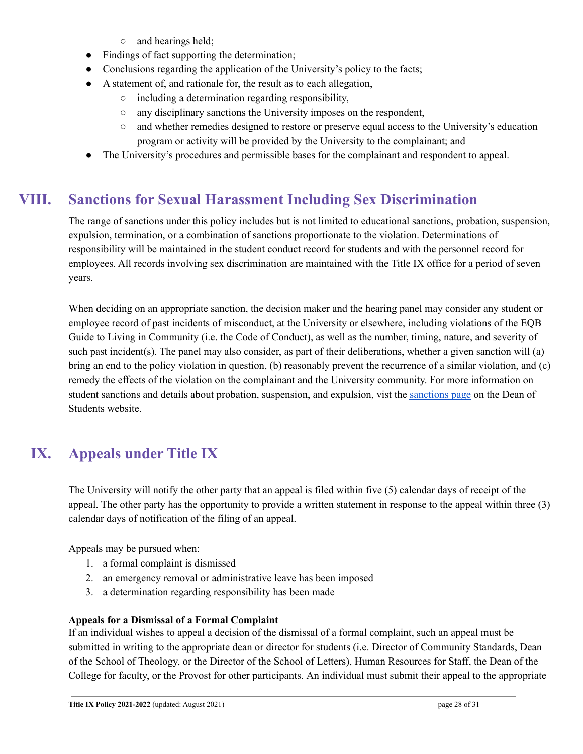- and hearings held;
- Findings of fact supporting the determination;
- Conclusions regarding the application of the University's policy to the facts;
- A statement of, and rationale for, the result as to each allegation,
	- including a determination regarding responsibility,
	- any disciplinary sanctions the University imposes on the respondent,
	- and whether remedies designed to restore or preserve equal access to the University's education program or activity will be provided by the University to the complainant; and
- The University's procedures and permissible bases for the complainant and respondent to appeal.

# **VIII. Sanctions for Sexual Harassment Including Sex Discrimination**

<span id="page-27-0"></span>The range of sanctions under this policy includes but is not limited to educational sanctions, probation, suspension, expulsion, termination, or a combination of sanctions proportionate to the violation. Determinations of responsibility will be maintained in the student conduct record for students and with the personnel record for employees. All records involving sex discrimination are maintained with the Title IX office for a period of seven years.

When deciding on an appropriate sanction, the decision maker and the hearing panel may consider any student or employee record of past incidents of misconduct, at the University or elsewhere, including violations of the EQB Guide to Living in Community (i.e. the Code of Conduct), as well as the number, timing, nature, and severity of such past incident(s). The panel may also consider, as part of their deliberations, whether a given sanction will (a) bring an end to the policy violation in question, (b) reasonably prevent the recurrence of a similar violation, and (c) remedy the effects of the violation on the complainant and the University community. For more information on student sanctions and details about probation, suspension, and expulsion, vist the [sanctions](https://www.sewanee.edu/student-life/dean-of-students-office/community-standards/sanctions/) page on the Dean of Students website.

# <span id="page-27-1"></span>**IX. Appeals under Title IX**

The University will notify the other party that an appeal is filed within five (5) calendar days of receipt of the appeal. The other party has the opportunity to provide a written statement in response to the appeal within three (3) calendar days of notification of the filing of an appeal.

Appeals may be pursued when:

- 1. a formal complaint is dismissed
- 2. an emergency removal or administrative leave has been imposed
- 3. a determination regarding responsibility has been made

### **Appeals for a Dismissal of a Formal Complaint**

If an individual wishes to appeal a decision of the dismissal of a formal complaint, such an appeal must be submitted in writing to the appropriate dean or director for students (i.e. Director of Community Standards, Dean of the School of Theology, or the Director of the School of Letters), Human Resources for Staff, the Dean of the College for faculty, or the Provost for other participants. An individual must submit their appeal to the appropriate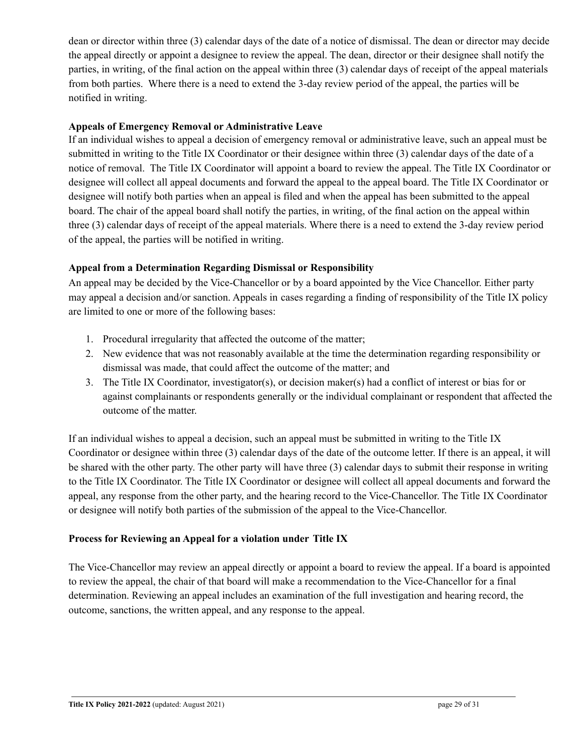dean or director within three (3) calendar days of the date of a notice of dismissal. The dean or director may decide the appeal directly or appoint a designee to review the appeal. The dean, director or their designee shall notify the parties, in writing, of the final action on the appeal within three (3) calendar days of receipt of the appeal materials from both parties. Where there is a need to extend the 3-day review period of the appeal, the parties will be notified in writing.

### **Appeals of Emergency Removal or Administrative Leave**

If an individual wishes to appeal a decision of emergency removal or administrative leave, such an appeal must be submitted in writing to the Title IX Coordinator or their designee within three (3) calendar days of the date of a notice of removal. The Title IX Coordinator will appoint a board to review the appeal. The Title IX Coordinator or designee will collect all appeal documents and forward the appeal to the appeal board. The Title IX Coordinator or designee will notify both parties when an appeal is filed and when the appeal has been submitted to the appeal board. The chair of the appeal board shall notify the parties, in writing, of the final action on the appeal within three (3) calendar days of receipt of the appeal materials. Where there is a need to extend the 3-day review period of the appeal, the parties will be notified in writing.

### **Appeal from a Determination Regarding Dismissal or Responsibility**

An appeal may be decided by the Vice-Chancellor or by a board appointed by the Vice Chancellor. Either party may appeal a decision and/or sanction. Appeals in cases regarding a finding of responsibility of the Title IX policy are limited to one or more of the following bases:

- 1. Procedural irregularity that affected the outcome of the matter;
- 2. New evidence that was not reasonably available at the time the determination regarding responsibility or dismissal was made, that could affect the outcome of the matter; and
- 3. The Title IX Coordinator, investigator(s), or decision maker(s) had a conflict of interest or bias for or against complainants or respondents generally or the individual complainant or respondent that affected the outcome of the matter.

If an individual wishes to appeal a decision, such an appeal must be submitted in writing to the Title IX Coordinator or designee within three (3) calendar days of the date of the outcome letter. If there is an appeal, it will be shared with the other party. The other party will have three (3) calendar days to submit their response in writing to the Title IX Coordinator. The Title IX Coordinator or designee will collect all appeal documents and forward the appeal, any response from the other party, and the hearing record to the Vice-Chancellor. The Title IX Coordinator or designee will notify both parties of the submission of the appeal to the Vice-Chancellor.

### **Process for Reviewing an Appeal for a violation under Title IX**

The Vice-Chancellor may review an appeal directly or appoint a board to review the appeal. If a board is appointed to review the appeal, the chair of that board will make a recommendation to the Vice-Chancellor for a final determination. Reviewing an appeal includes an examination of the full investigation and hearing record, the outcome, sanctions, the written appeal, and any response to the appeal.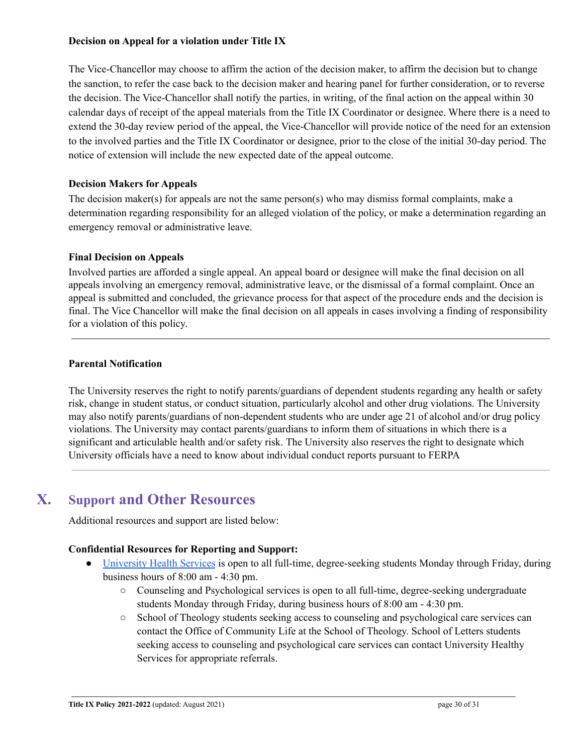### **Decision on Appeal for a violation under Title IX**

The Vice-Chancellor may choose to affirm the action of the decision maker, to affirm the decision but to change the sanction, to refer the case back to the decision maker and hearing panel for further consideration, or to reverse the decision. The Vice-Chancellor shall notify the parties, in writing, of the final action on the appeal within 30 calendar days of receipt of the appeal materials from the Title IX Coordinator or designee. Where there is a need to extend the 30-day review period of the appeal, the Vice-Chancellor will provide notice of the need for an extension to the involved parties and the Title IX Coordinator or designee, prior to the close of the initial 30-day period. The notice of extension will include the new expected date of the appeal outcome.

### **Decision Makers for Appeals**

The decision maker(s) for appeals are not the same person(s) who may dismiss formal complaints, make a determination regarding responsibility for an alleged violation of the policy, or make a determination regarding an emergency removal or administrative leave.

### **Final Decision on Appeals**

Involved parties are afforded a single appeal. An appeal board or designee will make the final decision on all appeals involving an emergency removal, administrative leave, or the dismissal of a formal complaint. Once an appeal is submitted and concluded, the grievance process for that aspect of the procedure ends and the decision is final. The Vice Chancellor will make the final decision on all appeals in cases involving a finding of responsibility for a violation of this policy.

### **Parental Notification**

The University reserves the right to notify parents/guardians of dependent students regarding any health or safety risk, change in student status, or conduct situation, particularly alcohol and other drug violations. The University may also notify parents/guardians of non-dependent students who are under age 21 of alcohol and/or drug policy violations. The University may contact parents/guardians to inform them of situations in which there is a significant and articulable health and/or safety risk. The University also reserves the right to designate which University officials have a need to know about individual conduct reports pursuant to FERPA

# **X. Support and Other Resources**

<span id="page-29-0"></span>Additional resources and support are listed below:

### **Confidential Resources for Reporting and Support:**

- [University](https://new.sewanee.edu/campus-life/flourishing/wellness-commons/university-wellness-center/) Health Services is open to all full-time, degree-seeking students Monday through Friday, during business hours of 8:00 am - 4:30 pm.
	- Counseling and Psychological services is open to all full-time, degree-seeking undergraduate students Monday through Friday, during business hours of 8:00 am - 4:30 pm.
	- School of Theology students seeking access to counseling and psychological care services can contact the Office of Community Life at the School of Theology. School of Letters students seeking access to counseling and psychological care services can contact University Healthy Services for appropriate referrals.